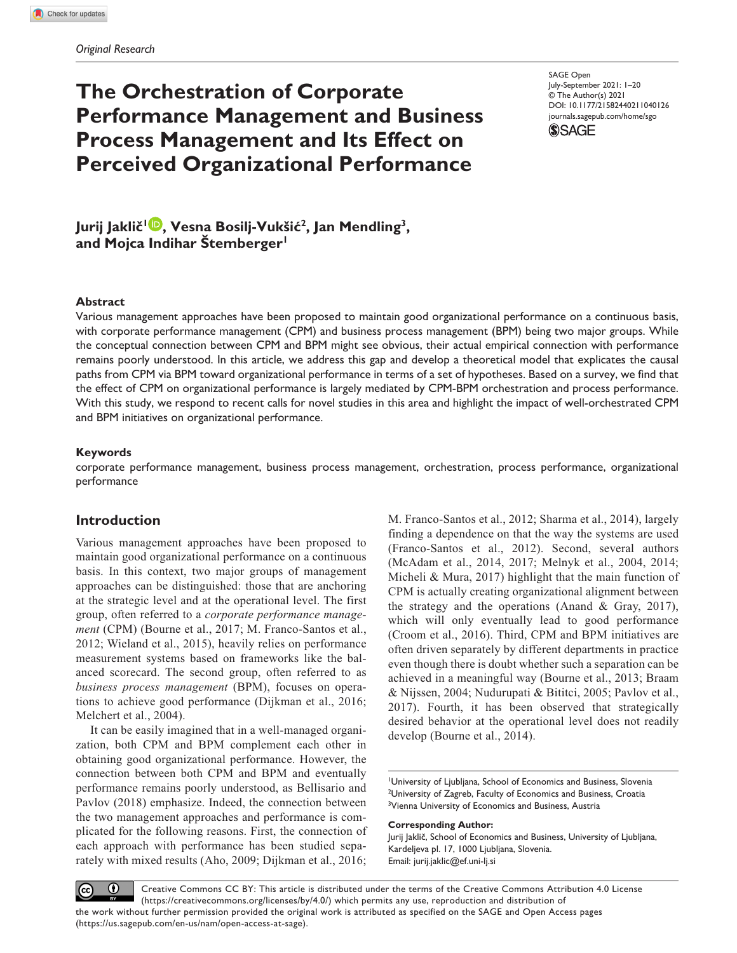# **The Orchestration of Corporate Performance Management and Business Process Management and Its Effect on Perceived Organizational Performance**

DOI: 10.1177/21582440211040126 SAGE Open July-September 2021: 1–20 © The Author(s) 2021 [journals.sagepub.com/home/sgo](https://journals.sagepub.com/home/sgo)



**Jurij Jaklič1 , Vesna Bosilj-Vukšić2, Jan Mendling3, and Mojca Indihar Štemberger1**

#### **Abstract**

Various management approaches have been proposed to maintain good organizational performance on a continuous basis, with corporate performance management (CPM) and business process management (BPM) being two major groups. While the conceptual connection between CPM and BPM might see obvious, their actual empirical connection with performance remains poorly understood. In this article, we address this gap and develop a theoretical model that explicates the causal paths from CPM via BPM toward organizational performance in terms of a set of hypotheses. Based on a survey, we find that the effect of CPM on organizational performance is largely mediated by CPM-BPM orchestration and process performance. With this study, we respond to recent calls for novel studies in this area and highlight the impact of well-orchestrated CPM and BPM initiatives on organizational performance.

#### **Keywords**

corporate performance management, business process management, orchestration, process performance, organizational performance

## **Introduction**

Various management approaches have been proposed to maintain good organizational performance on a continuous basis. In this context, two major groups of management approaches can be distinguished: those that are anchoring at the strategic level and at the operational level. The first group, often referred to a *corporate performance management* (CPM) (Bourne et al., 2017; M. Franco-Santos et al., 2012; Wieland et al., 2015), heavily relies on performance measurement systems based on frameworks like the balanced scorecard. The second group, often referred to as *business process management* (BPM), focuses on operations to achieve good performance (Dijkman et al., 2016; Melchert et al., 2004).

It can be easily imagined that in a well-managed organization, both CPM and BPM complement each other in obtaining good organizational performance. However, the connection between both CPM and BPM and eventually performance remains poorly understood, as Bellisario and Pavlov (2018) emphasize. Indeed, the connection between the two management approaches and performance is complicated for the following reasons. First, the connection of each approach with performance has been studied separately with mixed results (Aho, 2009; Dijkman et al., 2016; M. Franco-Santos et al., 2012; Sharma et al., 2014), largely finding a dependence on that the way the systems are used (Franco-Santos et al., 2012). Second, several authors (McAdam et al., 2014, 2017; Melnyk et al., 2004, 2014; Micheli & Mura, 2017) highlight that the main function of CPM is actually creating organizational alignment between the strategy and the operations (Anand & Gray, 2017), which will only eventually lead to good performance (Croom et al., 2016). Third, CPM and BPM initiatives are often driven separately by different departments in practice even though there is doubt whether such a separation can be achieved in a meaningful way (Bourne et al., 2013; Braam & Nijssen, 2004; Nudurupati & Bititci, 2005; Pavlov et al., 2017). Fourth, it has been observed that strategically desired behavior at the operational level does not readily develop (Bourne et al., 2014).

1 University of Ljubljana, School of Economics and Business, Slovenia <sup>2</sup>University of Zagreb, Faculty of Economics and Business, Croatia <sup>3</sup>Vienna University of Economics and Business, Austria

#### **Corresponding Author:**

Jurij Jaklič, School of Economics and Business, University of Ljubljana, Kardeljeva pl. 17, 1000 Ljubljana, Slovenia. Email: [jurij.jaklic@ef.uni-lj.si](mailto:jurij.jaklic@ef.uni-lj.si)

 $\bf \odot$ Creative Commons CC BY: This article is distributed under the terms of the Creative Commons Attribution 4.0 License  $\left(\mathrm{cc}\right)$ (https://creativecommons.org/licenses/by/4.0/) which permits any use, reproduction and distribution of the work without further permission provided the original work is attributed as specified on the SAGE and Open Access pages (https://us.sagepub.com/en-us/nam/open-access-at-sage).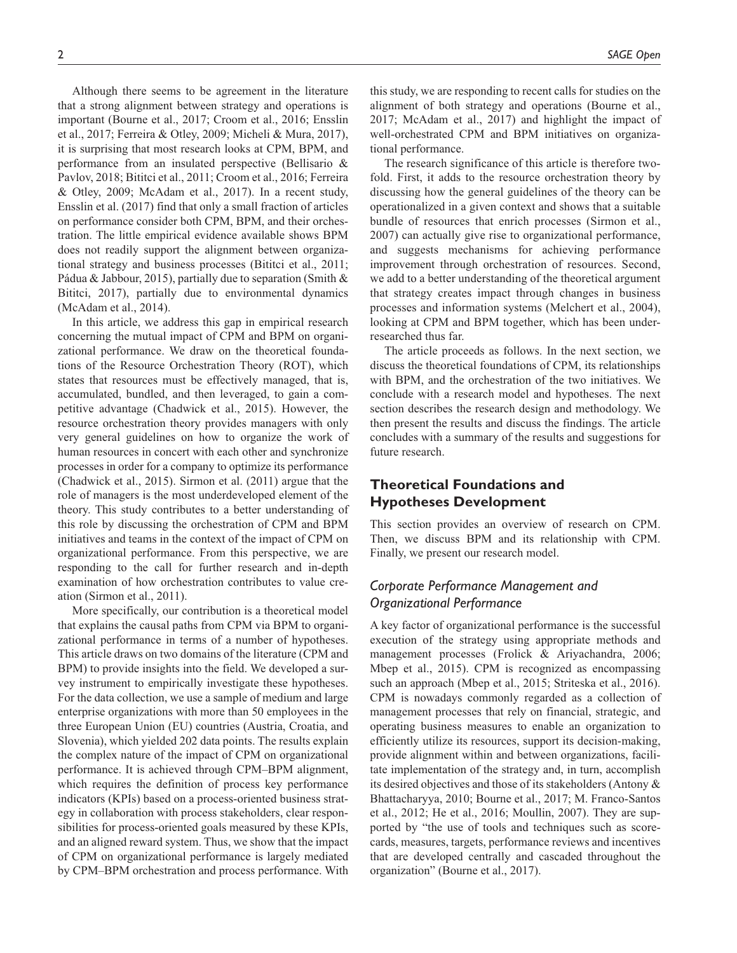Although there seems to be agreement in the literature that a strong alignment between strategy and operations is important (Bourne et al., 2017; Croom et al., 2016; Ensslin et al., 2017; Ferreira & Otley, 2009; Micheli & Mura, 2017), it is surprising that most research looks at CPM, BPM, and performance from an insulated perspective (Bellisario & Pavlov, 2018; Bititci et al., 2011; Croom et al., 2016; Ferreira & Otley, 2009; McAdam et al., 2017). In a recent study, Ensslin et al. (2017) find that only a small fraction of articles on performance consider both CPM, BPM, and their orchestration. The little empirical evidence available shows BPM does not readily support the alignment between organizational strategy and business processes (Bititci et al., 2011; Pádua & Jabbour, 2015), partially due to separation (Smith & Bititci, 2017), partially due to environmental dynamics (McAdam et al., 2014).

In this article, we address this gap in empirical research concerning the mutual impact of CPM and BPM on organizational performance. We draw on the theoretical foundations of the Resource Orchestration Theory (ROT), which states that resources must be effectively managed, that is, accumulated, bundled, and then leveraged, to gain a competitive advantage (Chadwick et al., 2015). However, the resource orchestration theory provides managers with only very general guidelines on how to organize the work of human resources in concert with each other and synchronize processes in order for a company to optimize its performance (Chadwick et al., 2015). Sirmon et al. (2011) argue that the role of managers is the most underdeveloped element of the theory. This study contributes to a better understanding of this role by discussing the orchestration of CPM and BPM initiatives and teams in the context of the impact of CPM on organizational performance. From this perspective, we are responding to the call for further research and in-depth examination of how orchestration contributes to value creation (Sirmon et al., 2011).

More specifically, our contribution is a theoretical model that explains the causal paths from CPM via BPM to organizational performance in terms of a number of hypotheses. This article draws on two domains of the literature (CPM and BPM) to provide insights into the field. We developed a survey instrument to empirically investigate these hypotheses. For the data collection, we use a sample of medium and large enterprise organizations with more than 50 employees in the three European Union (EU) countries (Austria, Croatia, and Slovenia), which yielded 202 data points. The results explain the complex nature of the impact of CPM on organizational performance. It is achieved through CPM–BPM alignment, which requires the definition of process key performance indicators (KPIs) based on a process-oriented business strategy in collaboration with process stakeholders, clear responsibilities for process-oriented goals measured by these KPIs, and an aligned reward system. Thus, we show that the impact of CPM on organizational performance is largely mediated by CPM–BPM orchestration and process performance. With

this study, we are responding to recent calls for studies on the alignment of both strategy and operations (Bourne et al., 2017; McAdam et al., 2017) and highlight the impact of well-orchestrated CPM and BPM initiatives on organizational performance.

The research significance of this article is therefore twofold. First, it adds to the resource orchestration theory by discussing how the general guidelines of the theory can be operationalized in a given context and shows that a suitable bundle of resources that enrich processes (Sirmon et al., 2007) can actually give rise to organizational performance, and suggests mechanisms for achieving performance improvement through orchestration of resources. Second, we add to a better understanding of the theoretical argument that strategy creates impact through changes in business processes and information systems (Melchert et al., 2004), looking at CPM and BPM together, which has been underresearched thus far.

The article proceeds as follows. In the next section, we discuss the theoretical foundations of CPM, its relationships with BPM, and the orchestration of the two initiatives. We conclude with a research model and hypotheses. The next section describes the research design and methodology. We then present the results and discuss the findings. The article concludes with a summary of the results and suggestions for future research.

# **Theoretical Foundations and Hypotheses Development**

This section provides an overview of research on CPM. Then, we discuss BPM and its relationship with CPM. Finally, we present our research model.

# *Corporate Performance Management and Organizational Performance*

A key factor of organizational performance is the successful execution of the strategy using appropriate methods and management processes (Frolick & Ariyachandra, 2006; Mbep et al., 2015). CPM is recognized as encompassing such an approach (Mbep et al., 2015; Striteska et al., 2016). CPM is nowadays commonly regarded as a collection of management processes that rely on financial, strategic, and operating business measures to enable an organization to efficiently utilize its resources, support its decision-making, provide alignment within and between organizations, facilitate implementation of the strategy and, in turn, accomplish its desired objectives and those of its stakeholders (Antony & Bhattacharyya, 2010; Bourne et al., 2017; M. Franco-Santos et al., 2012; He et al., 2016; Moullin, 2007). They are supported by "the use of tools and techniques such as scorecards, measures, targets, performance reviews and incentives that are developed centrally and cascaded throughout the organization" (Bourne et al., 2017).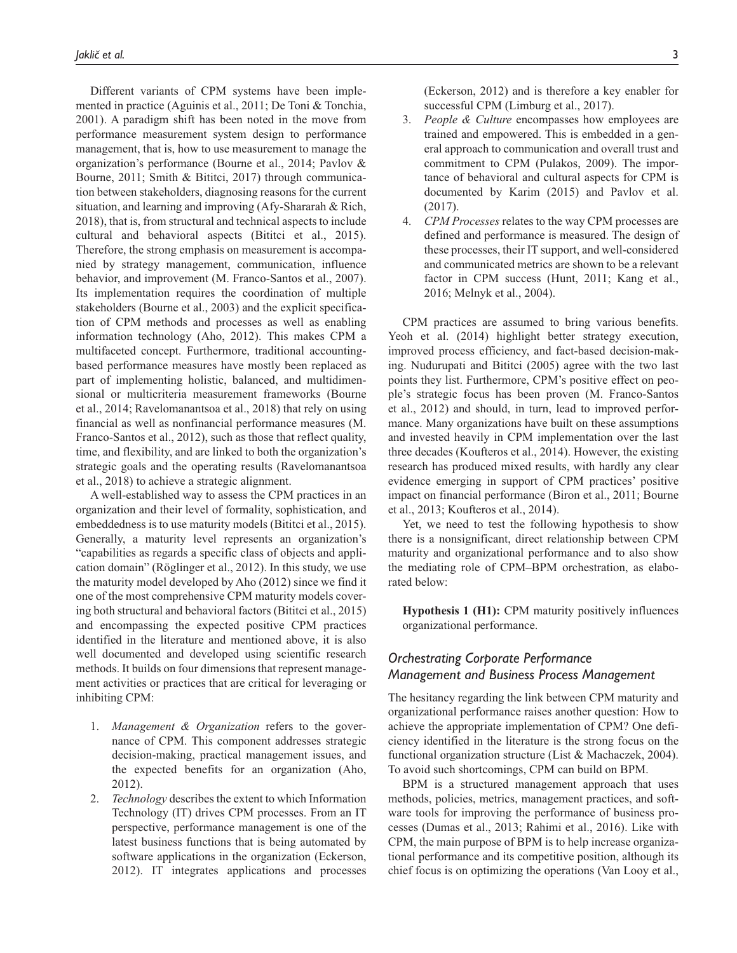Different variants of CPM systems have been implemented in practice (Aguinis et al., 2011; De Toni & Tonchia, 2001). A paradigm shift has been noted in the move from performance measurement system design to performance management, that is, how to use measurement to manage the organization's performance (Bourne et al., 2014; Pavlov & Bourne, 2011; Smith & Bititci, 2017) through communication between stakeholders, diagnosing reasons for the current situation, and learning and improving (Afy-Shararah & Rich, 2018), that is, from structural and technical aspects to include cultural and behavioral aspects (Bititci et al., 2015). Therefore, the strong emphasis on measurement is accompanied by strategy management, communication, influence behavior, and improvement (M. Franco-Santos et al., 2007). Its implementation requires the coordination of multiple stakeholders (Bourne et al., 2003) and the explicit specification of CPM methods and processes as well as enabling information technology (Aho, 2012). This makes CPM a multifaceted concept. Furthermore, traditional accountingbased performance measures have mostly been replaced as part of implementing holistic, balanced, and multidimensional or multicriteria measurement frameworks (Bourne et al., 2014; Ravelomanantsoa et al., 2018) that rely on using financial as well as nonfinancial performance measures (M. Franco-Santos et al., 2012), such as those that reflect quality, time, and flexibility, and are linked to both the organization's strategic goals and the operating results (Ravelomanantsoa et al., 2018) to achieve a strategic alignment.

A well-established way to assess the CPM practices in an organization and their level of formality, sophistication, and embeddedness is to use maturity models (Bititci et al., 2015). Generally, a maturity level represents an organization's "capabilities as regards a specific class of objects and application domain" (Röglinger et al., 2012). In this study, we use the maturity model developed by Aho (2012) since we find it one of the most comprehensive CPM maturity models covering both structural and behavioral factors (Bititci et al., 2015) and encompassing the expected positive CPM practices identified in the literature and mentioned above, it is also well documented and developed using scientific research methods. It builds on four dimensions that represent management activities or practices that are critical for leveraging or inhibiting CPM:

- 1. *Management & Organization* refers to the governance of CPM. This component addresses strategic decision-making, practical management issues, and the expected benefits for an organization (Aho, 2012).
- 2. *Technology* describes the extent to which Information Technology (IT) drives CPM processes. From an IT perspective, performance management is one of the latest business functions that is being automated by software applications in the organization (Eckerson, 2012). IT integrates applications and processes

(Eckerson, 2012) and is therefore a key enabler for successful CPM (Limburg et al., 2017).

- 3. *People & Culture* encompasses how employees are trained and empowered. This is embedded in a general approach to communication and overall trust and commitment to CPM (Pulakos, 2009). The importance of behavioral and cultural aspects for CPM is documented by Karim (2015) and Pavlov et al. (2017).
- 4. *CPM Processes* relates to the way CPM processes are defined and performance is measured. The design of these processes, their IT support, and well-considered and communicated metrics are shown to be a relevant factor in CPM success (Hunt, 2011; Kang et al., 2016; Melnyk et al., 2004).

CPM practices are assumed to bring various benefits. Yeoh et al. (2014) highlight better strategy execution, improved process efficiency, and fact-based decision-making. Nudurupati and Bititci (2005) agree with the two last points they list. Furthermore, CPM's positive effect on people's strategic focus has been proven (M. Franco-Santos et al., 2012) and should, in turn, lead to improved performance. Many organizations have built on these assumptions and invested heavily in CPM implementation over the last three decades (Koufteros et al., 2014). However, the existing research has produced mixed results, with hardly any clear evidence emerging in support of CPM practices' positive impact on financial performance (Biron et al., 2011; Bourne et al., 2013; Koufteros et al., 2014).

Yet, we need to test the following hypothesis to show there is a nonsignificant, direct relationship between CPM maturity and organizational performance and to also show the mediating role of CPM–BPM orchestration, as elaborated below:

**Hypothesis 1 (H1):** CPM maturity positively influences organizational performance.

# *Orchestrating Corporate Performance Management and Business Process Management*

The hesitancy regarding the link between CPM maturity and organizational performance raises another question: How to achieve the appropriate implementation of CPM? One deficiency identified in the literature is the strong focus on the functional organization structure (List & Machaczek, 2004). To avoid such shortcomings, CPM can build on BPM.

BPM is a structured management approach that uses methods, policies, metrics, management practices, and software tools for improving the performance of business processes (Dumas et al., 2013; Rahimi et al., 2016). Like with CPM, the main purpose of BPM is to help increase organizational performance and its competitive position, although its chief focus is on optimizing the operations (Van Looy et al.,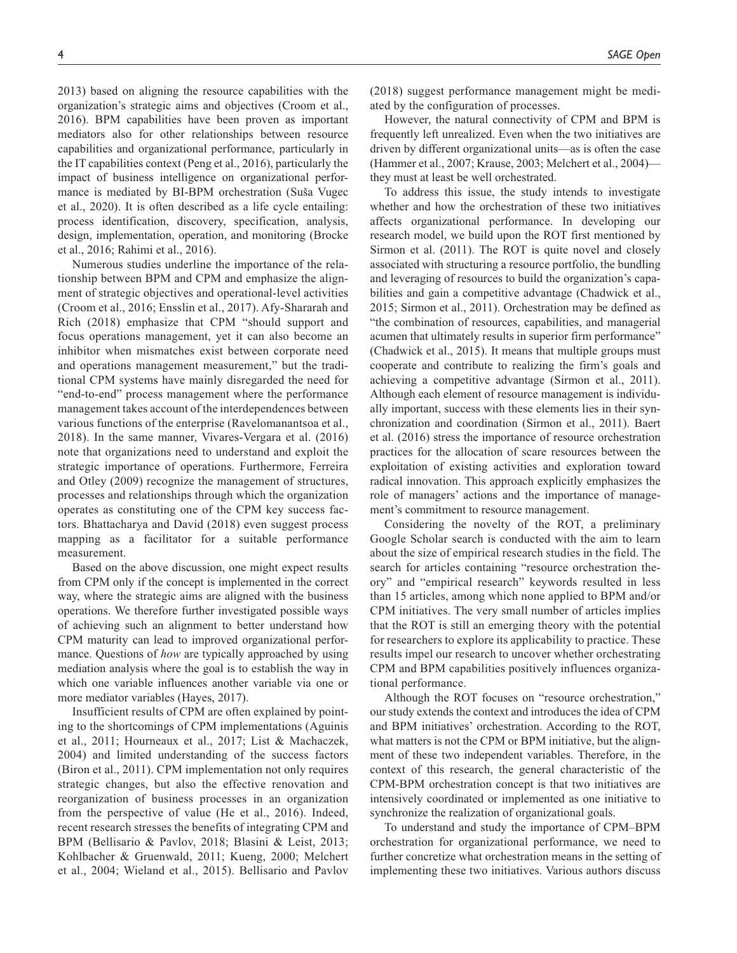2013) based on aligning the resource capabilities with the organization's strategic aims and objectives (Croom et al., 2016). BPM capabilities have been proven as important mediators also for other relationships between resource capabilities and organizational performance, particularly in the IT capabilities context (Peng et al., 2016), particularly the impact of business intelligence on organizational performance is mediated by BI-BPM orchestration (Suša Vugec et al., 2020). It is often described as a life cycle entailing: process identification, discovery, specification, analysis, design, implementation, operation, and monitoring (Brocke et al., 2016; Rahimi et al., 2016).

Numerous studies underline the importance of the relationship between BPM and CPM and emphasize the alignment of strategic objectives and operational-level activities (Croom et al., 2016; Ensslin et al., 2017). Afy-Shararah and Rich (2018) emphasize that CPM "should support and focus operations management, yet it can also become an inhibitor when mismatches exist between corporate need and operations management measurement," but the traditional CPM systems have mainly disregarded the need for "end-to-end" process management where the performance management takes account of the interdependences between various functions of the enterprise (Ravelomanantsoa et al., 2018). In the same manner, Vivares-Vergara et al. (2016) note that organizations need to understand and exploit the strategic importance of operations. Furthermore, Ferreira and Otley (2009) recognize the management of structures, processes and relationships through which the organization operates as constituting one of the CPM key success factors. Bhattacharya and David (2018) even suggest process mapping as a facilitator for a suitable performance measurement.

Based on the above discussion, one might expect results from CPM only if the concept is implemented in the correct way, where the strategic aims are aligned with the business operations. We therefore further investigated possible ways of achieving such an alignment to better understand how CPM maturity can lead to improved organizational performance. Questions of *how* are typically approached by using mediation analysis where the goal is to establish the way in which one variable influences another variable via one or more mediator variables (Hayes, 2017).

Insufficient results of CPM are often explained by pointing to the shortcomings of CPM implementations (Aguinis et al., 2011; Hourneaux et al., 2017; List & Machaczek, 2004) and limited understanding of the success factors (Biron et al., 2011). CPM implementation not only requires strategic changes, but also the effective renovation and reorganization of business processes in an organization from the perspective of value (He et al., 2016). Indeed, recent research stresses the benefits of integrating CPM and BPM (Bellisario & Pavlov, 2018; Blasini & Leist, 2013; Kohlbacher & Gruenwald, 2011; Kueng, 2000; Melchert et al., 2004; Wieland et al., 2015). Bellisario and Pavlov

(2018) suggest performance management might be mediated by the configuration of processes.

However, the natural connectivity of CPM and BPM is frequently left unrealized. Even when the two initiatives are driven by different organizational units—as is often the case (Hammer et al., 2007; Krause, 2003; Melchert et al., 2004) they must at least be well orchestrated.

To address this issue, the study intends to investigate whether and how the orchestration of these two initiatives affects organizational performance. In developing our research model, we build upon the ROT first mentioned by Sirmon et al. (2011). The ROT is quite novel and closely associated with structuring a resource portfolio, the bundling and leveraging of resources to build the organization's capabilities and gain a competitive advantage (Chadwick et al., 2015; Sirmon et al., 2011). Orchestration may be defined as "the combination of resources, capabilities, and managerial acumen that ultimately results in superior firm performance" (Chadwick et al., 2015). It means that multiple groups must cooperate and contribute to realizing the firm's goals and achieving a competitive advantage (Sirmon et al., 2011). Although each element of resource management is individually important, success with these elements lies in their synchronization and coordination (Sirmon et al., 2011). Baert et al. (2016) stress the importance of resource orchestration practices for the allocation of scare resources between the exploitation of existing activities and exploration toward radical innovation. This approach explicitly emphasizes the role of managers' actions and the importance of management's commitment to resource management.

Considering the novelty of the ROT, a preliminary Google Scholar search is conducted with the aim to learn about the size of empirical research studies in the field. The search for articles containing "resource orchestration theory" and "empirical research" keywords resulted in less than 15 articles, among which none applied to BPM and/or CPM initiatives. The very small number of articles implies that the ROT is still an emerging theory with the potential for researchers to explore its applicability to practice. These results impel our research to uncover whether orchestrating CPM and BPM capabilities positively influences organizational performance.

Although the ROT focuses on "resource orchestration," our study extends the context and introduces the idea of CPM and BPM initiatives' orchestration. According to the ROT, what matters is not the CPM or BPM initiative, but the alignment of these two independent variables. Therefore, in the context of this research, the general characteristic of the CPM-BPM orchestration concept is that two initiatives are intensively coordinated or implemented as one initiative to synchronize the realization of organizational goals.

To understand and study the importance of CPM–BPM orchestration for organizational performance, we need to further concretize what orchestration means in the setting of implementing these two initiatives. Various authors discuss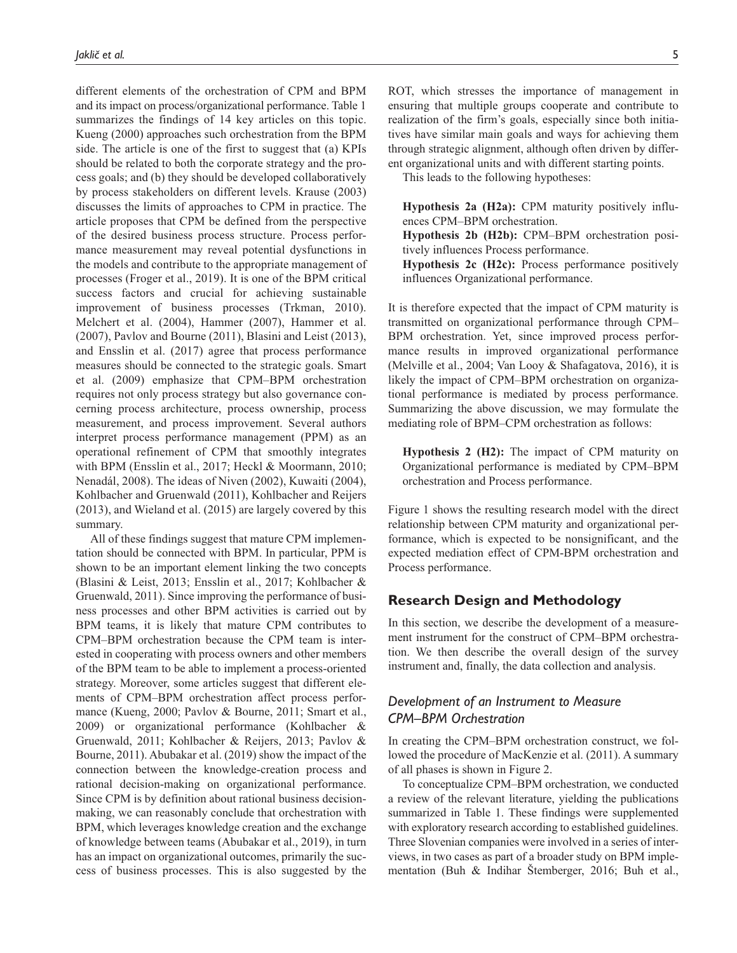different elements of the orchestration of CPM and BPM and its impact on process/organizational performance. Table 1 summarizes the findings of 14 key articles on this topic. Kueng (2000) approaches such orchestration from the BPM side. The article is one of the first to suggest that (a) KPIs should be related to both the corporate strategy and the process goals; and (b) they should be developed collaboratively by process stakeholders on different levels. Krause (2003) discusses the limits of approaches to CPM in practice. The article proposes that CPM be defined from the perspective of the desired business process structure. Process performance measurement may reveal potential dysfunctions in the models and contribute to the appropriate management of processes (Froger et al., 2019). It is one of the BPM critical success factors and crucial for achieving sustainable improvement of business processes (Trkman, 2010). Melchert et al. (2004), Hammer (2007), Hammer et al. (2007), Pavlov and Bourne (2011), Blasini and Leist (2013), and Ensslin et al. (2017) agree that process performance measures should be connected to the strategic goals. Smart et al. (2009) emphasize that CPM–BPM orchestration requires not only process strategy but also governance concerning process architecture, process ownership, process measurement, and process improvement. Several authors interpret process performance management (PPM) as an operational refinement of CPM that smoothly integrates with BPM (Ensslin et al., 2017; Heckl & Moormann, 2010; Nenadál, 2008). The ideas of Niven (2002), Kuwaiti (2004), Kohlbacher and Gruenwald (2011), Kohlbacher and Reijers (2013), and Wieland et al. (2015) are largely covered by this summary.

All of these findings suggest that mature CPM implementation should be connected with BPM. In particular, PPM is shown to be an important element linking the two concepts (Blasini & Leist, 2013; Ensslin et al., 2017; Kohlbacher & Gruenwald, 2011). Since improving the performance of business processes and other BPM activities is carried out by BPM teams, it is likely that mature CPM contributes to CPM–BPM orchestration because the CPM team is interested in cooperating with process owners and other members of the BPM team to be able to implement a process-oriented strategy. Moreover, some articles suggest that different elements of CPM–BPM orchestration affect process performance (Kueng, 2000; Pavlov & Bourne, 2011; Smart et al., 2009) or organizational performance (Kohlbacher & Gruenwald, 2011; Kohlbacher & Reijers, 2013; Pavlov & Bourne, 2011). Abubakar et al. (2019) show the impact of the connection between the knowledge-creation process and rational decision-making on organizational performance. Since CPM is by definition about rational business decisionmaking, we can reasonably conclude that orchestration with BPM, which leverages knowledge creation and the exchange of knowledge between teams (Abubakar et al., 2019), in turn has an impact on organizational outcomes, primarily the success of business processes. This is also suggested by the

ROT, which stresses the importance of management in ensuring that multiple groups cooperate and contribute to realization of the firm's goals, especially since both initiatives have similar main goals and ways for achieving them through strategic alignment, although often driven by different organizational units and with different starting points.

This leads to the following hypotheses:

**Hypothesis 2a (H2a):** CPM maturity positively influences CPM–BPM orchestration.

**Hypothesis 2b (H2b):** CPM–BPM orchestration positively influences Process performance.

**Hypothesis 2c (H2c):** Process performance positively influences Organizational performance.

It is therefore expected that the impact of CPM maturity is transmitted on organizational performance through CPM– BPM orchestration. Yet, since improved process performance results in improved organizational performance (Melville et al., 2004; Van Looy & Shafagatova, 2016), it is likely the impact of CPM–BPM orchestration on organizational performance is mediated by process performance. Summarizing the above discussion, we may formulate the mediating role of BPM–CPM orchestration as follows:

**Hypothesis 2 (H2):** The impact of CPM maturity on Organizational performance is mediated by CPM–BPM orchestration and Process performance.

Figure 1 shows the resulting research model with the direct relationship between CPM maturity and organizational performance, which is expected to be nonsignificant, and the expected mediation effect of CPM-BPM orchestration and Process performance.

# **Research Design and Methodology**

In this section, we describe the development of a measurement instrument for the construct of CPM–BPM orchestration. We then describe the overall design of the survey instrument and, finally, the data collection and analysis.

# *Development of an Instrument to Measure CPM–BPM Orchestration*

In creating the CPM–BPM orchestration construct, we followed the procedure of MacKenzie et al. (2011). A summary of all phases is shown in Figure 2.

To conceptualize CPM–BPM orchestration, we conducted a review of the relevant literature, yielding the publications summarized in Table 1. These findings were supplemented with exploratory research according to established guidelines. Three Slovenian companies were involved in a series of interviews, in two cases as part of a broader study on BPM implementation (Buh & Indihar Štemberger, 2016; Buh et al.,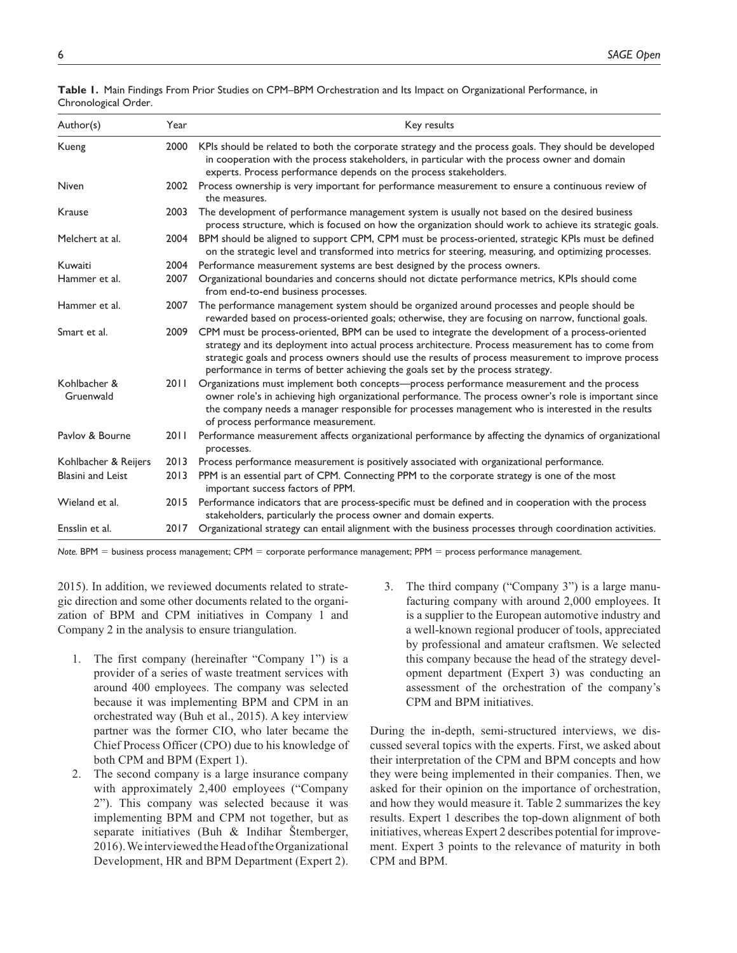| Author(s)                 | Year   | Key results                                                                                                                                                                                                                                                                                                                                                                                      |
|---------------------------|--------|--------------------------------------------------------------------------------------------------------------------------------------------------------------------------------------------------------------------------------------------------------------------------------------------------------------------------------------------------------------------------------------------------|
| Kueng                     | 2000   | KPIs should be related to both the corporate strategy and the process goals. They should be developed<br>in cooperation with the process stakeholders, in particular with the process owner and domain<br>experts. Process performance depends on the process stakeholders.                                                                                                                      |
| <b>Niven</b>              |        | 2002 Process ownership is very important for performance measurement to ensure a continuous review of<br>the measures.                                                                                                                                                                                                                                                                           |
| Krause                    | 2003   | The development of performance management system is usually not based on the desired business<br>process structure, which is focused on how the organization should work to achieve its strategic goals.                                                                                                                                                                                         |
| Melchert at al.           | 2004   | BPM should be aligned to support CPM, CPM must be process-oriented, strategic KPIs must be defined<br>on the strategic level and transformed into metrics for steering, measuring, and optimizing processes.                                                                                                                                                                                     |
| Kuwaiti                   | 2004   | Performance measurement systems are best designed by the process owners.                                                                                                                                                                                                                                                                                                                         |
| Hammer et al.             | 2007   | Organizational boundaries and concerns should not dictate performance metrics, KPIs should come<br>from end-to-end business processes.                                                                                                                                                                                                                                                           |
| Hammer et al.             | 2007   | The performance management system should be organized around processes and people should be<br>rewarded based on process-oriented goals; otherwise, they are focusing on narrow, functional goals.                                                                                                                                                                                               |
| Smart et al.              | 2009   | CPM must be process-oriented, BPM can be used to integrate the development of a process-oriented<br>strategy and its deployment into actual process architecture. Process measurement has to come from<br>strategic goals and process owners should use the results of process measurement to improve process<br>performance in terms of better achieving the goals set by the process strategy. |
| Kohlbacher &<br>Gruenwald | 2011   | Organizations must implement both concepts—process performance measurement and the process<br>owner role's in achieving high organizational performance. The process owner's role is important since<br>the company needs a manager responsible for processes management who is interested in the results<br>of process performance measurement.                                                 |
| Pavlov & Bourne           | 20 I I | Performance measurement affects organizational performance by affecting the dynamics of organizational<br>processes.                                                                                                                                                                                                                                                                             |
| Kohlbacher & Reijers      | 2013   | Process performance measurement is positively associated with organizational performance.                                                                                                                                                                                                                                                                                                        |
| <b>Blasini and Leist</b>  | 2013   | PPM is an essential part of CPM. Connecting PPM to the corporate strategy is one of the most<br>important success factors of PPM.                                                                                                                                                                                                                                                                |
| Wieland et al.            |        | 2015 Performance indicators that are process-specific must be defined and in cooperation with the process<br>stakeholders, particularly the process owner and domain experts.                                                                                                                                                                                                                    |
| Ensslin et al.            | 2017   | Organizational strategy can entail alignment with the business processes through coordination activities.                                                                                                                                                                                                                                                                                        |

**Table 1.** Main Findings From Prior Studies on CPM–BPM Orchestration and Its Impact on Organizational Performance, in Chronological Order.

*Note.* BPM = business process management; CPM = corporate performance management; PPM = process performance management.

2015). In addition, we reviewed documents related to strategic direction and some other documents related to the organization of BPM and CPM initiatives in Company 1 and Company 2 in the analysis to ensure triangulation.

- 1. The first company (hereinafter "Company 1") is a provider of a series of waste treatment services with around 400 employees. The company was selected because it was implementing BPM and CPM in an orchestrated way (Buh et al., 2015). A key interview partner was the former CIO, who later became the Chief Process Officer (CPO) due to his knowledge of both CPM and BPM (Expert 1).
- 2. The second company is a large insurance company with approximately 2,400 employees ("Company 2"). This company was selected because it was implementing BPM and CPM not together, but as separate initiatives (Buh & Indihar Štemberger, 2016). We interviewed the Head of the Organizational Development, HR and BPM Department (Expert 2).
- 3. The third company ("Company 3") is a large manufacturing company with around 2,000 employees. It is a supplier to the European automotive industry and a well-known regional producer of tools, appreciated by professional and amateur craftsmen. We selected this company because the head of the strategy development department (Expert 3) was conducting an assessment of the orchestration of the company's CPM and BPM initiatives.

During the in-depth, semi-structured interviews, we discussed several topics with the experts. First, we asked about their interpretation of the CPM and BPM concepts and how they were being implemented in their companies. Then, we asked for their opinion on the importance of orchestration, and how they would measure it. Table 2 summarizes the key results. Expert 1 describes the top-down alignment of both initiatives, whereas Expert 2 describes potential for improvement. Expert 3 points to the relevance of maturity in both CPM and BPM.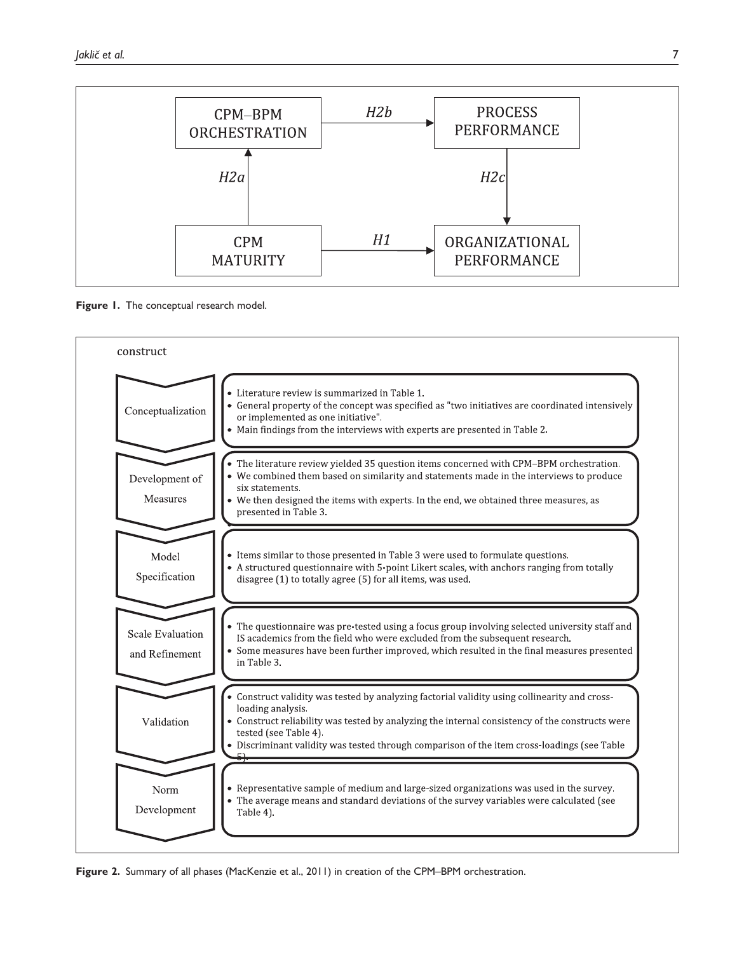





**Figure 2.** Summary of all phases (MacKenzie et al., 2011) in creation of the CPM–BPM orchestration.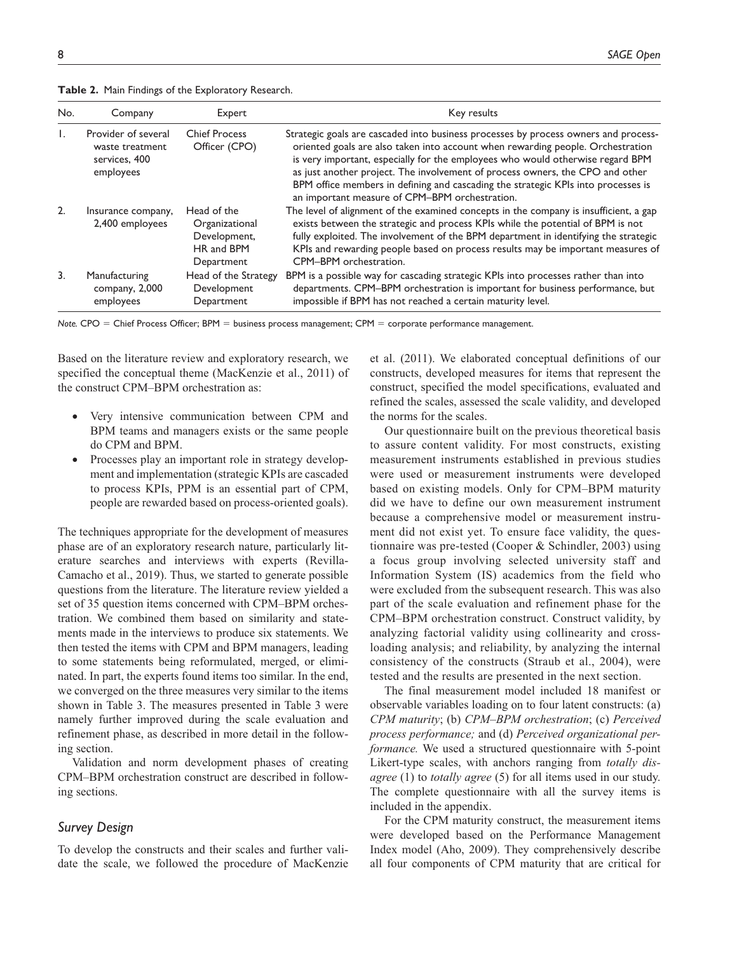**Table 2.** Main Findings of the Exploratory Research.

| No.              | Company                                                              | Expert                                                                    | Key results                                                                                                                                                                                                                                                                                                                                                                                                                                                                      |
|------------------|----------------------------------------------------------------------|---------------------------------------------------------------------------|----------------------------------------------------------------------------------------------------------------------------------------------------------------------------------------------------------------------------------------------------------------------------------------------------------------------------------------------------------------------------------------------------------------------------------------------------------------------------------|
| Ι.               | Provider of several<br>waste treatment<br>services, 400<br>employees | <b>Chief Process</b><br>Officer (CPO)                                     | Strategic goals are cascaded into business processes by process owners and process-<br>oriented goals are also taken into account when rewarding people. Orchestration<br>is very important, especially for the employees who would otherwise regard BPM<br>as just another project. The involvement of process owners, the CPO and other<br>BPM office members in defining and cascading the strategic KPIs into processes is<br>an important measure of CPM-BPM orchestration. |
| 2.               | Insurance company,<br>2,400 employees                                | Head of the<br>Organizational<br>Development,<br>HR and BPM<br>Department | The level of alignment of the examined concepts in the company is insufficient, a gap<br>exists between the strategic and process KPIs while the potential of BPM is not<br>fully exploited. The involvement of the BPM department in identifying the strategic<br>KPIs and rewarding people based on process results may be important measures of<br>CPM-BPM orchestration.                                                                                                     |
| $\overline{3}$ . | Manufacturing<br>company, 2,000<br>employees                         | Head of the Strategy<br>Development<br>Department                         | BPM is a possible way for cascading strategic KPIs into processes rather than into<br>departments. CPM-BPM orchestration is important for business performance, but<br>impossible if BPM has not reached a certain maturity level.                                                                                                                                                                                                                                               |

*Note.* CPO = Chief Process Officer; BPM = business process management; CPM = corporate performance management.

Based on the literature review and exploratory research, we specified the conceptual theme (MacKenzie et al., 2011) of the construct CPM–BPM orchestration as:

- Very intensive communication between CPM and BPM teams and managers exists or the same people do CPM and BPM.
- Processes play an important role in strategy development and implementation (strategic KPIs are cascaded to process KPIs, PPM is an essential part of CPM, people are rewarded based on process-oriented goals).

The techniques appropriate for the development of measures phase are of an exploratory research nature, particularly literature searches and interviews with experts (Revilla-Camacho et al., 2019). Thus, we started to generate possible questions from the literature. The literature review yielded a set of 35 question items concerned with CPM–BPM orchestration. We combined them based on similarity and statements made in the interviews to produce six statements. We then tested the items with CPM and BPM managers, leading to some statements being reformulated, merged, or eliminated. In part, the experts found items too similar. In the end, we converged on the three measures very similar to the items shown in Table 3. The measures presented in Table 3 were namely further improved during the scale evaluation and refinement phase, as described in more detail in the following section.

Validation and norm development phases of creating CPM–BPM orchestration construct are described in following sections.

## *Survey Design*

To develop the constructs and their scales and further validate the scale, we followed the procedure of MacKenzie et al. (2011). We elaborated conceptual definitions of our constructs, developed measures for items that represent the construct, specified the model specifications, evaluated and refined the scales, assessed the scale validity, and developed the norms for the scales.

Our questionnaire built on the previous theoretical basis to assure content validity. For most constructs, existing measurement instruments established in previous studies were used or measurement instruments were developed based on existing models. Only for CPM–BPM maturity did we have to define our own measurement instrument because a comprehensive model or measurement instrument did not exist yet. To ensure face validity, the questionnaire was pre-tested (Cooper & Schindler, 2003) using a focus group involving selected university staff and Information System (IS) academics from the field who were excluded from the subsequent research. This was also part of the scale evaluation and refinement phase for the CPM–BPM orchestration construct. Construct validity, by analyzing factorial validity using collinearity and crossloading analysis; and reliability, by analyzing the internal consistency of the constructs (Straub et al., 2004), were tested and the results are presented in the next section.

The final measurement model included 18 manifest or observable variables loading on to four latent constructs: (a) *CPM maturity*; (b) *CPM–BPM orchestration*; (c) *Perceived process performance;* and (d) *Perceived organizational performance.* We used a structured questionnaire with 5-point Likert-type scales, with anchors ranging from *totally disagree* (1) to *totally agree* (5) for all items used in our study. The complete questionnaire with all the survey items is included in the appendix.

For the CPM maturity construct, the measurement items were developed based on the Performance Management Index model (Aho, 2009). They comprehensively describe all four components of CPM maturity that are critical for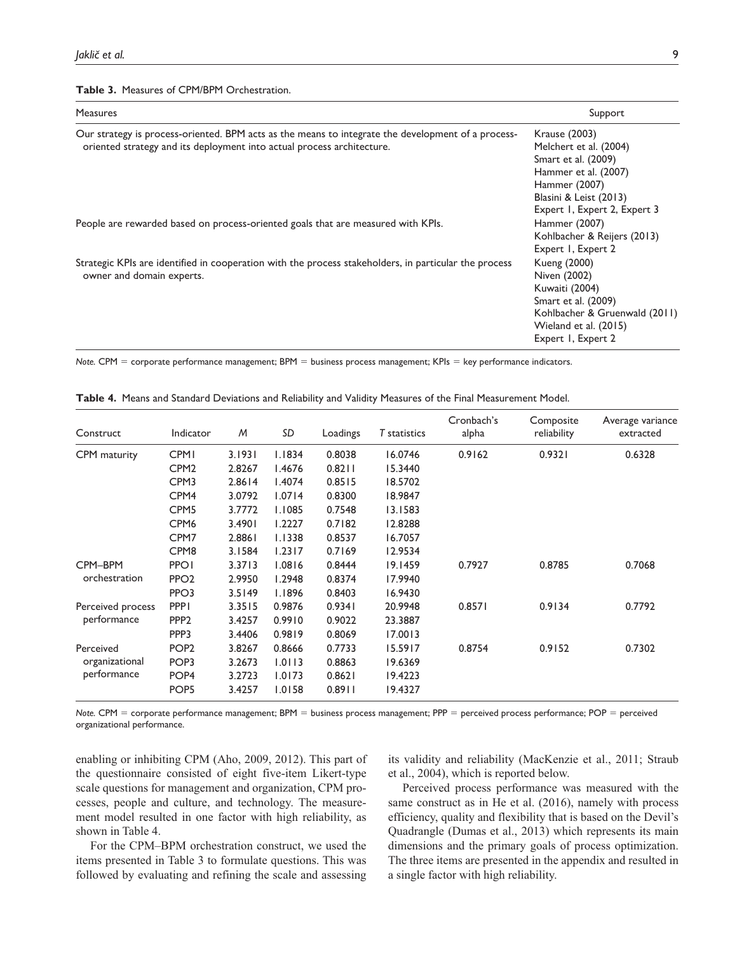#### **Table 3.** Measures of CPM/BPM Orchestration.

| Measures                                                                                              | Support                       |
|-------------------------------------------------------------------------------------------------------|-------------------------------|
| Our strategy is process-oriented. BPM acts as the means to integrate the development of a process-    | Krause (2003)                 |
| oriented strategy and its deployment into actual process architecture.                                | Melchert et al. (2004)        |
|                                                                                                       | Smart et al. (2009)           |
|                                                                                                       | Hammer et al. (2007)          |
|                                                                                                       | Hammer (2007)                 |
|                                                                                                       | Blasini & Leist (2013)        |
|                                                                                                       | Expert 1, Expert 2, Expert 3  |
| People are rewarded based on process-oriented goals that are measured with KPIs.                      | Hammer (2007)                 |
|                                                                                                       | Kohlbacher & Reijers (2013)   |
|                                                                                                       | Expert 1, Expert 2            |
| Strategic KPIs are identified in cooperation with the process stakeholders, in particular the process | Kueng (2000)                  |
| owner and domain experts.                                                                             | Niven (2002)                  |
|                                                                                                       | Kuwaiti (2004)                |
|                                                                                                       | Smart et al. (2009)           |
|                                                                                                       | Kohlbacher & Gruenwald (2011) |
|                                                                                                       | Wieland et al. (2015)         |
|                                                                                                       | Expert 1, Expert 2            |

*Note.* CPM = corporate performance management; BPM = business process management; KPIs = key performance indicators.

| Construct         | Indicator        | M      | SD     | Loadings | T statistics | Cronbach's<br>alpha | Composite<br>reliability | Average variance<br>extracted |
|-------------------|------------------|--------|--------|----------|--------------|---------------------|--------------------------|-------------------------------|
| CPM maturity      | <b>CPMI</b>      | 3.1931 | 1.1834 | 0.8038   | 16.0746      | 0.9162              | 0.9321                   | 0.6328                        |
|                   | CPM <sub>2</sub> | 2.8267 | I.4676 | 0.8211   | 15.3440      |                     |                          |                               |
|                   | CPM3             | 2.8614 | 1.4074 | 0.8515   | 18.5702      |                     |                          |                               |
|                   | CPM4             | 3.0792 | 1.0714 | 0.8300   | 18.9847      |                     |                          |                               |
|                   | CPM <sub>5</sub> | 3.7772 | 1.1085 | 0.7548   | 13.1583      |                     |                          |                               |
|                   | CPM <sub>6</sub> | 3.4901 | 1.2227 | 0.7182   | 12.8288      |                     |                          |                               |
|                   | CPM7             | 2.8861 | 1.1338 | 0.8537   | 16.7057      |                     |                          |                               |
|                   | CPM <sub>8</sub> | 3.1584 | 1.2317 | 0.7169   | 12.9534      |                     |                          |                               |
| CPM-BPM           | <b>PPO1</b>      | 3.3713 | 1.0816 | 0.8444   | 19.1459      | 0.7927              | 0.8785                   | 0.7068                        |
| orchestration     | PPO <sub>2</sub> | 2.9950 | 1.2948 | 0.8374   | 17.9940      |                     |                          |                               |
|                   | PPO3             | 3.5149 | 1.1896 | 0.8403   | 16.9430      |                     |                          |                               |
| Perceived process | <b>PPPI</b>      | 3.3515 | 0.9876 | 0.9341   | 20.9948      | 0.8571              | 0.9134                   | 0.7792                        |
| performance       | PPP <sub>2</sub> | 3.4257 | 0.9910 | 0.9022   | 23.3887      |                     |                          |                               |
|                   | PPP3             | 3.4406 | 0.9819 | 0.8069   | 17.0013      |                     |                          |                               |
| Perceived         | POP <sub>2</sub> | 3.8267 | 0.8666 | 0.7733   | 15.5917      | 0.8754              | 0.9152                   | 0.7302                        |
| organizational    | POP <sub>3</sub> | 3.2673 | 1.0113 | 0.8863   | 19.6369      |                     |                          |                               |
| performance       | POP <sub>4</sub> | 3.2723 | 1.0173 | 0.8621   | 19.4223      |                     |                          |                               |
|                   | POP <sub>5</sub> | 3.4257 | 1.0158 | 0.8911   | 19.4327      |                     |                          |                               |

**Table 4.** Means and Standard Deviations and Reliability and Validity Measures of the Final Measurement Model.

*Note.* CPM = corporate performance management; BPM = business process management; PPP = perceived process performance; POP = perceived organizational performance.

enabling or inhibiting CPM (Aho, 2009, 2012). This part of the questionnaire consisted of eight five-item Likert-type scale questions for management and organization, CPM processes, people and culture, and technology. The measurement model resulted in one factor with high reliability, as shown in Table 4.

For the CPM–BPM orchestration construct, we used the items presented in Table 3 to formulate questions. This was followed by evaluating and refining the scale and assessing its validity and reliability (MacKenzie et al., 2011; Straub et al., 2004), which is reported below.

Perceived process performance was measured with the same construct as in He et al. (2016), namely with process efficiency, quality and flexibility that is based on the Devil's Quadrangle (Dumas et al., 2013) which represents its main dimensions and the primary goals of process optimization. The three items are presented in the appendix and resulted in a single factor with high reliability.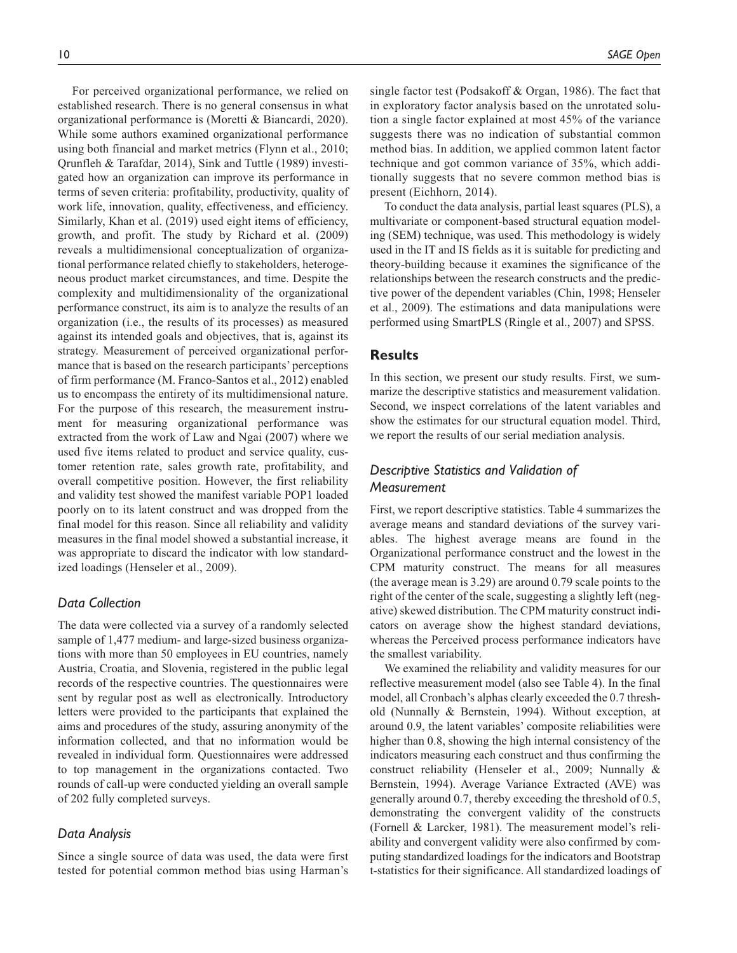For perceived organizational performance, we relied on established research. There is no general consensus in what organizational performance is (Moretti & Biancardi, 2020). While some authors examined organizational performance using both financial and market metrics (Flynn et al., 2010; Qrunfleh & Tarafdar, 2014), Sink and Tuttle (1989) investigated how an organization can improve its performance in terms of seven criteria: profitability, productivity, quality of work life, innovation, quality, effectiveness, and efficiency. Similarly, Khan et al. (2019) used eight items of efficiency, growth, and profit. The study by Richard et al. (2009) reveals a multidimensional conceptualization of organizational performance related chiefly to stakeholders, heterogeneous product market circumstances, and time. Despite the complexity and multidimensionality of the organizational performance construct, its aim is to analyze the results of an organization (i.e., the results of its processes) as measured against its intended goals and objectives, that is, against its strategy. Measurement of perceived organizational performance that is based on the research participants' perceptions of firm performance (M. Franco-Santos et al., 2012) enabled us to encompass the entirety of its multidimensional nature. For the purpose of this research, the measurement instrument for measuring organizational performance was extracted from the work of Law and Ngai (2007) where we used five items related to product and service quality, customer retention rate, sales growth rate, profitability, and overall competitive position. However, the first reliability and validity test showed the manifest variable POP1 loaded poorly on to its latent construct and was dropped from the final model for this reason. Since all reliability and validity measures in the final model showed a substantial increase, it was appropriate to discard the indicator with low standardized loadings (Henseler et al., 2009).

## *Data Collection*

The data were collected via a survey of a randomly selected sample of 1,477 medium- and large-sized business organizations with more than 50 employees in EU countries, namely Austria, Croatia, and Slovenia, registered in the public legal records of the respective countries. The questionnaires were sent by regular post as well as electronically. Introductory letters were provided to the participants that explained the aims and procedures of the study, assuring anonymity of the information collected, and that no information would be revealed in individual form. Questionnaires were addressed to top management in the organizations contacted. Two rounds of call-up were conducted yielding an overall sample of 202 fully completed surveys.

## *Data Analysis*

Since a single source of data was used, the data were first tested for potential common method bias using Harman's

single factor test (Podsakoff & Organ, 1986). The fact that in exploratory factor analysis based on the unrotated solution a single factor explained at most 45% of the variance suggests there was no indication of substantial common method bias. In addition, we applied common latent factor technique and got common variance of 35%, which additionally suggests that no severe common method bias is present (Eichhorn, 2014).

To conduct the data analysis, partial least squares (PLS), a multivariate or component-based structural equation modeling (SEM) technique, was used. This methodology is widely used in the IT and IS fields as it is suitable for predicting and theory-building because it examines the significance of the relationships between the research constructs and the predictive power of the dependent variables (Chin, 1998; Henseler et al., 2009). The estimations and data manipulations were performed using SmartPLS (Ringle et al., 2007) and SPSS.

## **Results**

In this section, we present our study results. First, we summarize the descriptive statistics and measurement validation. Second, we inspect correlations of the latent variables and show the estimates for our structural equation model. Third, we report the results of our serial mediation analysis.

# *Descriptive Statistics and Validation of Measurement*

First, we report descriptive statistics. Table 4 summarizes the average means and standard deviations of the survey variables. The highest average means are found in the Organizational performance construct and the lowest in the CPM maturity construct. The means for all measures (the average mean is 3.29) are around 0.79 scale points to the right of the center of the scale, suggesting a slightly left (negative) skewed distribution. The CPM maturity construct indicators on average show the highest standard deviations, whereas the Perceived process performance indicators have the smallest variability.

We examined the reliability and validity measures for our reflective measurement model (also see Table 4). In the final model, all Cronbach's alphas clearly exceeded the 0.7 threshold (Nunnally & Bernstein, 1994). Without exception, at around 0.9, the latent variables' composite reliabilities were higher than 0.8, showing the high internal consistency of the indicators measuring each construct and thus confirming the construct reliability (Henseler et al., 2009; Nunnally & Bernstein, 1994). Average Variance Extracted (AVE) was generally around 0.7, thereby exceeding the threshold of 0.5, demonstrating the convergent validity of the constructs (Fornell & Larcker, 1981). The measurement model's reliability and convergent validity were also confirmed by computing standardized loadings for the indicators and Bootstrap t-statistics for their significance. All standardized loadings of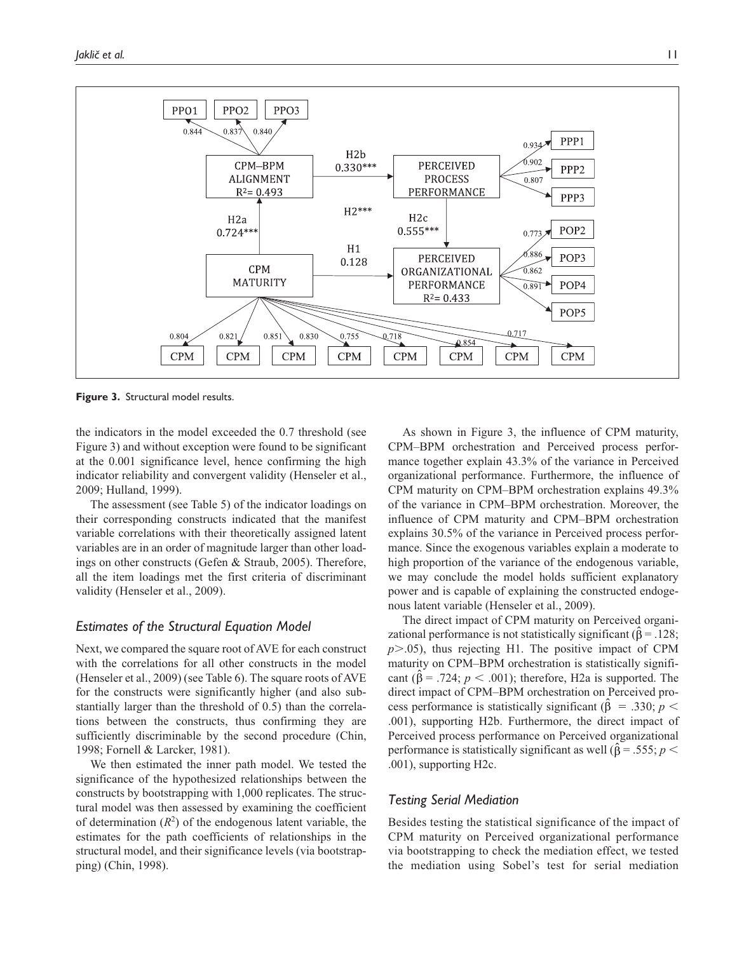

**Figure 3.** Structural model results.

the indicators in the model exceeded the 0.7 threshold (see Figure 3) and without exception were found to be significant at the 0.001 significance level, hence confirming the high indicator reliability and convergent validity (Henseler et al., 2009; Hulland, 1999).

The assessment (see Table 5) of the indicator loadings on their corresponding constructs indicated that the manifest variable correlations with their theoretically assigned latent variables are in an order of magnitude larger than other loadings on other constructs (Gefen & Straub, 2005). Therefore, all the item loadings met the first criteria of discriminant validity (Henseler et al., 2009).

#### *Estimates of the Structural Equation Model*

Next, we compared the square root of AVE for each construct with the correlations for all other constructs in the model (Henseler et al., 2009) (see Table 6). The square roots of AVE for the constructs were significantly higher (and also substantially larger than the threshold of 0.5) than the correlations between the constructs, thus confirming they are sufficiently discriminable by the second procedure (Chin, 1998; Fornell & Larcker, 1981).

We then estimated the inner path model. We tested the significance of the hypothesized relationships between the constructs by bootstrapping with 1,000 replicates. The structural model was then assessed by examining the coefficient of determination  $(R^2)$  of the endogenous latent variable, the estimates for the path coefficients of relationships in the structural model, and their significance levels (via bootstrapping) (Chin, 1998).

As shown in Figure 3, the influence of CPM maturity, CPM–BPM orchestration and Perceived process performance together explain 43.3% of the variance in Perceived organizational performance. Furthermore, the influence of CPM maturity on CPM–BPM orchestration explains 49.3% of the variance in CPM–BPM orchestration. Moreover, the influence of CPM maturity and CPM–BPM orchestration explains 30.5% of the variance in Perceived process performance. Since the exogenous variables explain a moderate to high proportion of the variance of the endogenous variable, we may conclude the model holds sufficient explanatory power and is capable of explaining the constructed endogenous latent variable (Henseler et al., 2009).

The direct impact of CPM maturity on Perceived organizational performance is not statistically significant ( $\hat{\beta} = .128$ ; *p*>.05), thus rejecting H1. The positive impact of CPM maturity on CPM–BPM orchestration is statistically significant ( $\hat{\beta}$  = .724; *p* < .001); therefore, H2a is supported. The direct impact of CPM–BPM orchestration on Perceived process performance is statistically significant ( $\hat{\beta}$  = .330;  $p$  < .001), supporting H2b. Furthermore, the direct impact of Perceived process performance on Perceived organizational performance is statistically significant as well ( $\hat{\beta}$  = .555; *p* < .001), supporting H2c.

## *Testing Serial Mediation*

Besides testing the statistical significance of the impact of CPM maturity on Perceived organizational performance via bootstrapping to check the mediation effect, we tested the mediation using Sobel's test for serial mediation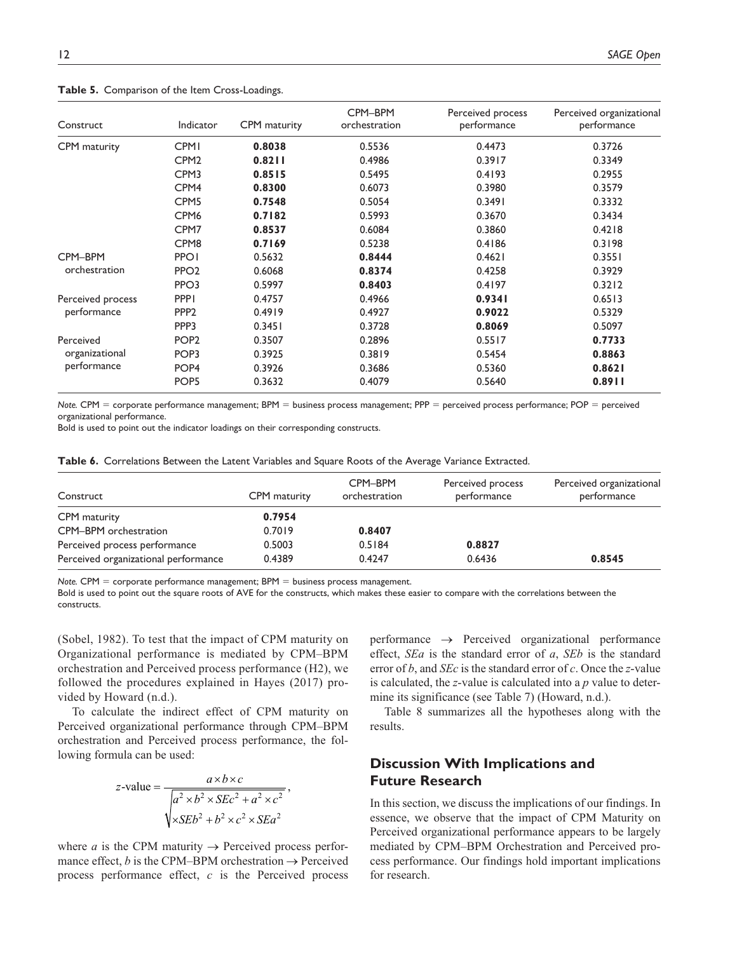#### **Table 5.** Comparison of the Item Cross-Loadings.

| Construct         | Indicator        | CPM maturity | CPM-BPM<br>orchestration | Perceived process<br>performance | Perceived organizational<br>performance |
|-------------------|------------------|--------------|--------------------------|----------------------------------|-----------------------------------------|
| CPM maturity      | <b>CPMI</b>      | 0.8038       | 0.5536                   | 0.4473                           | 0.3726                                  |
|                   | CPM <sub>2</sub> | 0.8211       | 0.4986                   | 0.3917                           | 0.3349                                  |
|                   | CPM3             | 0.8515       | 0.5495                   | 0.4193                           | 0.2955                                  |
|                   | CPM <sub>4</sub> | 0.8300       | 0.6073                   | 0.3980                           | 0.3579                                  |
|                   | CPM <sub>5</sub> | 0.7548       | 0.5054                   | 0.3491                           | 0.3332                                  |
|                   | CPM <sub>6</sub> | 0.7182       | 0.5993                   | 0.3670                           | 0.3434                                  |
|                   | CPM7             | 0.8537       | 0.6084                   | 0.3860                           | 0.4218                                  |
|                   | CPM <sub>8</sub> | 0.7169       | 0.5238                   | 0.4186                           | 0.3198                                  |
| CPM-BPM           | <b>PPOI</b>      | 0.5632       | 0.8444                   | 0.4621                           | 0.3551                                  |
| orchestration     | PPO <sub>2</sub> | 0.6068       | 0.8374                   | 0.4258                           | 0.3929                                  |
|                   | PPO3             | 0.5997       | 0.8403                   | 0.4197                           | 0.3212                                  |
| Perceived process | <b>PPPI</b>      | 0.4757       | 0.4966                   | 0.9341                           | 0.6513                                  |
| performance       | PPP <sub>2</sub> | 0.4919       | 0.4927                   | 0.9022                           | 0.5329                                  |
|                   | PPP3             | 0.3451       | 0.3728                   | 0.8069                           | 0.5097                                  |
| Perceived         | POP <sub>2</sub> | 0.3507       | 0.2896                   | 0.5517                           | 0.7733                                  |
| organizational    | POP <sub>3</sub> | 0.3925       | 0.3819                   | 0.5454                           | 0.8863                                  |
| performance       | POP <sub>4</sub> | 0.3926       | 0.3686                   | 0.5360                           | 0.8621                                  |
|                   | POP <sub>5</sub> | 0.3632       | 0.4079                   | 0.5640                           | 0.8911                                  |

*Note.* CPM = corporate performance management; BPM = business process management; PPP = perceived process performance; POP = perceived organizational performance.

Bold is used to point out the indicator loadings on their corresponding constructs.

| Table 6. Correlations Between the Latent Variables and Square Roots of the Average Variance Extracted. |  |  |
|--------------------------------------------------------------------------------------------------------|--|--|
|--------------------------------------------------------------------------------------------------------|--|--|

| Construct                            | CPM maturity | CPM-BPM<br>orchestration | Perceived process<br>performance | Perceived organizational<br>performance |
|--------------------------------------|--------------|--------------------------|----------------------------------|-----------------------------------------|
| CPM maturity                         | 0.7954       |                          |                                  |                                         |
| CPM-BPM orchestration                | 0.7019       | 0.8407                   |                                  |                                         |
| Perceived process performance        | 0.5003       | 0.5184                   | 0.8827                           |                                         |
| Perceived organizational performance | 0.4389       | 0.4247                   | 0.6436                           | 0.8545                                  |

*Note.* CPM = corporate performance management; BPM = business process management.

Bold is used to point out the square roots of AVE for the constructs, which makes these easier to compare with the correlations between the constructs.

(Sobel, 1982). To test that the impact of CPM maturity on Organizational performance is mediated by CPM–BPM orchestration and Perceived process performance (H2), we followed the procedures explained in Hayes (2017) provided by Howard (n.d.).

To calculate the indirect effect of CPM maturity on Perceived organizational performance through CPM–BPM orchestration and Perceived process performance, the following formula can be used:

z-value = 
$$
\frac{a \times b \times c}{\sqrt{a^2 \times b^2 \times SEc^2 + a^2 \times c^2}}
$$
,  

$$
\sqrt{\times SEb^2 + b^2 \times c^2 \times SEa^2}
$$

where *a* is the CPM maturity  $\rightarrow$  Perceived process performance effect, *b* is the CPM–BPM orchestration  $\rightarrow$  Perceived process performance effect, *c* is the Perceived process performance  $\rightarrow$  Perceived organizational performance effect, *SEa* is the standard error of *a*, *SEb* is the standard error of *b*, and *SEc* is the standard error of *c*. Once the *z*-value is calculated, the *z*-value is calculated into a *p* value to determine its significance (see Table 7) (Howard, n.d.).

Table 8 summarizes all the hypotheses along with the results.

# **Discussion With Implications and Future Research**

In this section, we discuss the implications of our findings. In essence, we observe that the impact of CPM Maturity on Perceived organizational performance appears to be largely mediated by CPM–BPM Orchestration and Perceived process performance. Our findings hold important implications for research.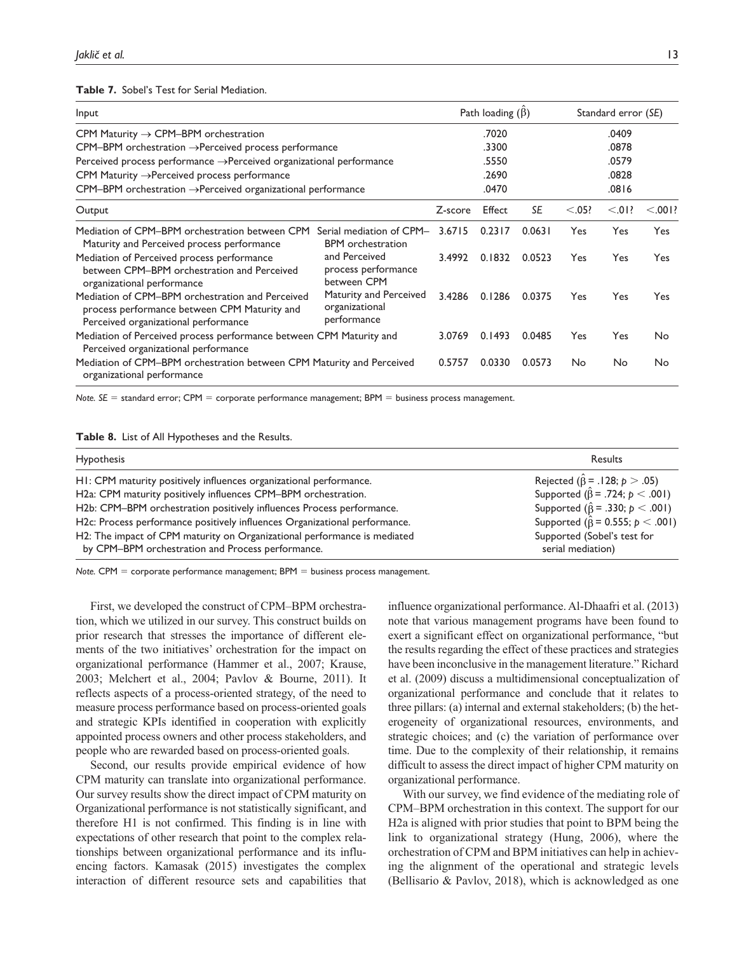**Table 7.** Sobel's Test for Serial Mediation.

| Input                                                                                                                                    |                                                         |         | Path loading $(\beta)$ |           |         | Standard error (SE) |            |
|------------------------------------------------------------------------------------------------------------------------------------------|---------------------------------------------------------|---------|------------------------|-----------|---------|---------------------|------------|
| CPM Maturity $\rightarrow$ CPM-BPM orchestration                                                                                         |                                                         | .7020   |                        |           | .0409   |                     |            |
| $CPM-BPM$ orchestration $\rightarrow$ Perceived process performance                                                                      |                                                         |         | .3300                  |           | .0878   |                     |            |
| Perceived process performance →Perceived organizational performance                                                                      |                                                         |         | .5550                  |           |         | .0579               |            |
| CPM Maturity $\rightarrow$ Perceived process performance                                                                                 |                                                         |         | .2690                  |           |         | .0828               |            |
| $CPM$ –BPM orchestration $\rightarrow$ Perceived organizational performance                                                              |                                                         |         | .0470                  |           |         | .0816               |            |
| Output                                                                                                                                   |                                                         | Z-score | Effect                 | <b>SE</b> | < 0.05? | < .01?              | < 0.001?   |
| Mediation of CPM-BPM orchestration between CPM<br>Maturity and Perceived process performance                                             | Serial mediation of CPM-<br><b>BPM</b> orchestration    | 3.6715  | 0.2317                 | 0.0631    | Yes     | Yes                 | <b>Yes</b> |
| Mediation of Perceived process performance<br>between CPM-BPM orchestration and Perceived<br>organizational performance                  | and Perceived<br>process performance<br>between CPM     | 3.4992  | 0.1832                 | 0.0523    | Yes     | Yes                 | <b>Yes</b> |
| Mediation of CPM-BPM orchestration and Perceived<br>process performance between CPM Maturity and<br>Perceived organizational performance | Maturity and Perceived<br>organizational<br>performance | 3.4286  | 0.1286                 | 0.0375    | Yes     | Yes                 | Yes.       |
| Mediation of Perceived process performance between CPM Maturity and<br>Perceived organizational performance                              |                                                         |         | 0.1493                 | 0.0485    | Yes     | Yes                 | No         |
| Mediation of CPM-BPM orchestration between CPM Maturity and Perceived<br>organizational performance                                      |                                                         |         | 0.0330                 | 0.0573    | No      | No                  | No         |

*Note. SE* = standard error; CPM = corporate performance management; BPM = business process management.

|  |  | Table 8. List of All Hypotheses and the Results. |  |  |
|--|--|--------------------------------------------------|--|--|
|--|--|--------------------------------------------------|--|--|

| <b>Hypothesis</b>                                                                                                             | Results                                          |
|-------------------------------------------------------------------------------------------------------------------------------|--------------------------------------------------|
| HI: CPM maturity positively influences organizational performance.                                                            | Rejected ( $\hat{\beta}$ = .128; $p > .05$ )     |
| H2a: CPM maturity positively influences CPM-BPM orchestration.                                                                | Supported ( $\hat{\beta}$ = .724; $p < .001$ )   |
| H2b: CPM-BPM orchestration positively influences Process performance.                                                         | Supported ( $\hat{\beta}$ = .330; $p < .001$ )   |
| H2c: Process performance positively influences Organizational performance.                                                    | Supported ( $\hat{\beta}$ = 0.555; $p < .001$ )  |
| H2: The impact of CPM maturity on Organizational performance is mediated<br>by CPM-BPM orchestration and Process performance. | Supported (Sobel's test for<br>serial mediation) |

*Note.* CPM = corporate performance management; BPM = business process management.

First, we developed the construct of CPM–BPM orchestration, which we utilized in our survey. This construct builds on prior research that stresses the importance of different elements of the two initiatives' orchestration for the impact on organizational performance (Hammer et al., 2007; Krause, 2003; Melchert et al., 2004; Pavlov & Bourne, 2011). It reflects aspects of a process-oriented strategy, of the need to measure process performance based on process-oriented goals and strategic KPIs identified in cooperation with explicitly appointed process owners and other process stakeholders, and people who are rewarded based on process-oriented goals.

Second, our results provide empirical evidence of how CPM maturity can translate into organizational performance. Our survey results show the direct impact of CPM maturity on Organizational performance is not statistically significant, and therefore H1 is not confirmed. This finding is in line with expectations of other research that point to the complex relationships between organizational performance and its influencing factors. Kamasak (2015) investigates the complex interaction of different resource sets and capabilities that influence organizational performance. Al-Dhaafri et al. (2013) note that various management programs have been found to exert a significant effect on organizational performance, "but the results regarding the effect of these practices and strategies have been inconclusive in the management literature." Richard et al. (2009) discuss a multidimensional conceptualization of organizational performance and conclude that it relates to three pillars: (a) internal and external stakeholders; (b) the heterogeneity of organizational resources, environments, and strategic choices; and (c) the variation of performance over time. Due to the complexity of their relationship, it remains difficult to assess the direct impact of higher CPM maturity on organizational performance.

With our survey, we find evidence of the mediating role of CPM–BPM orchestration in this context. The support for our H2a is aligned with prior studies that point to BPM being the link to organizational strategy (Hung, 2006), where the orchestration of CPM and BPM initiatives can help in achieving the alignment of the operational and strategic levels (Bellisario & Pavlov, 2018), which is acknowledged as one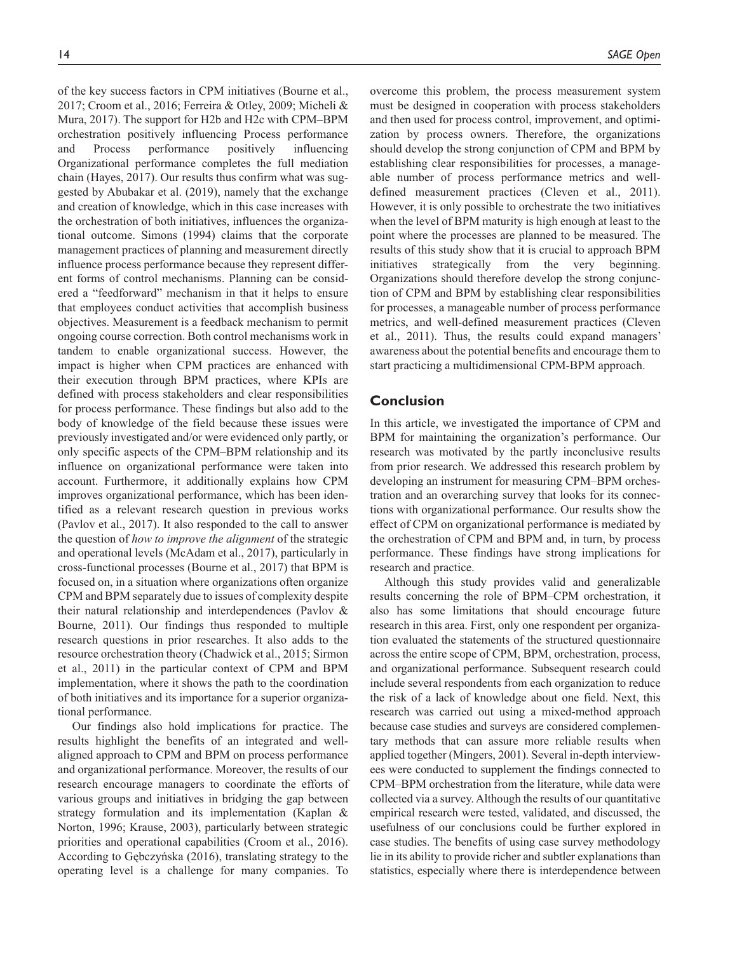of the key success factors in CPM initiatives (Bourne et al., 2017; Croom et al., 2016; Ferreira & Otley, 2009; Micheli & Mura, 2017). The support for H2b and H2c with CPM–BPM orchestration positively influencing Process performance and Process performance positively influencing Organizational performance completes the full mediation chain (Hayes, 2017). Our results thus confirm what was suggested by Abubakar et al. (2019), namely that the exchange and creation of knowledge, which in this case increases with the orchestration of both initiatives, influences the organizational outcome. Simons (1994) claims that the corporate management practices of planning and measurement directly influence process performance because they represent different forms of control mechanisms. Planning can be considered a "feedforward" mechanism in that it helps to ensure that employees conduct activities that accomplish business objectives. Measurement is a feedback mechanism to permit ongoing course correction. Both control mechanisms work in tandem to enable organizational success. However, the impact is higher when CPM practices are enhanced with their execution through BPM practices, where KPIs are defined with process stakeholders and clear responsibilities for process performance. These findings but also add to the body of knowledge of the field because these issues were previously investigated and/or were evidenced only partly, or only specific aspects of the CPM–BPM relationship and its influence on organizational performance were taken into account. Furthermore, it additionally explains how CPM improves organizational performance, which has been identified as a relevant research question in previous works (Pavlov et al., 2017). It also responded to the call to answer the question of *how to improve the alignment* of the strategic and operational levels (McAdam et al., 2017), particularly in cross-functional processes (Bourne et al., 2017) that BPM is focused on, in a situation where organizations often organize CPM and BPM separately due to issues of complexity despite their natural relationship and interdependences (Pavlov & Bourne, 2011). Our findings thus responded to multiple research questions in prior researches. It also adds to the resource orchestration theory (Chadwick et al., 2015; Sirmon et al., 2011) in the particular context of CPM and BPM implementation, where it shows the path to the coordination of both initiatives and its importance for a superior organizational performance.

Our findings also hold implications for practice. The results highlight the benefits of an integrated and wellaligned approach to CPM and BPM on process performance and organizational performance. Moreover, the results of our research encourage managers to coordinate the efforts of various groups and initiatives in bridging the gap between strategy formulation and its implementation (Kaplan & Norton, 1996; Krause, 2003), particularly between strategic priorities and operational capabilities (Croom et al., 2016). According to Gębczyńska (2016), translating strategy to the operating level is a challenge for many companies. To

overcome this problem, the process measurement system must be designed in cooperation with process stakeholders and then used for process control, improvement, and optimization by process owners. Therefore, the organizations should develop the strong conjunction of CPM and BPM by establishing clear responsibilities for processes, a manageable number of process performance metrics and welldefined measurement practices (Cleven et al., 2011). However, it is only possible to orchestrate the two initiatives when the level of BPM maturity is high enough at least to the point where the processes are planned to be measured. The results of this study show that it is crucial to approach BPM initiatives strategically from the very beginning. Organizations should therefore develop the strong conjunction of CPM and BPM by establishing clear responsibilities for processes, a manageable number of process performance metrics, and well-defined measurement practices (Cleven et al., 2011). Thus, the results could expand managers' awareness about the potential benefits and encourage them to start practicing a multidimensional CPM-BPM approach.

## **Conclusion**

In this article, we investigated the importance of CPM and BPM for maintaining the organization's performance. Our research was motivated by the partly inconclusive results from prior research. We addressed this research problem by developing an instrument for measuring CPM–BPM orchestration and an overarching survey that looks for its connections with organizational performance. Our results show the effect of CPM on organizational performance is mediated by the orchestration of CPM and BPM and, in turn, by process performance. These findings have strong implications for research and practice.

Although this study provides valid and generalizable results concerning the role of BPM–CPM orchestration, it also has some limitations that should encourage future research in this area. First, only one respondent per organization evaluated the statements of the structured questionnaire across the entire scope of CPM, BPM, orchestration, process, and organizational performance. Subsequent research could include several respondents from each organization to reduce the risk of a lack of knowledge about one field. Next, this research was carried out using a mixed-method approach because case studies and surveys are considered complementary methods that can assure more reliable results when applied together (Mingers, 2001). Several in-depth interviewees were conducted to supplement the findings connected to CPM–BPM orchestration from the literature, while data were collected via a survey. Although the results of our quantitative empirical research were tested, validated, and discussed, the usefulness of our conclusions could be further explored in case studies. The benefits of using case survey methodology lie in its ability to provide richer and subtler explanations than statistics, especially where there is interdependence between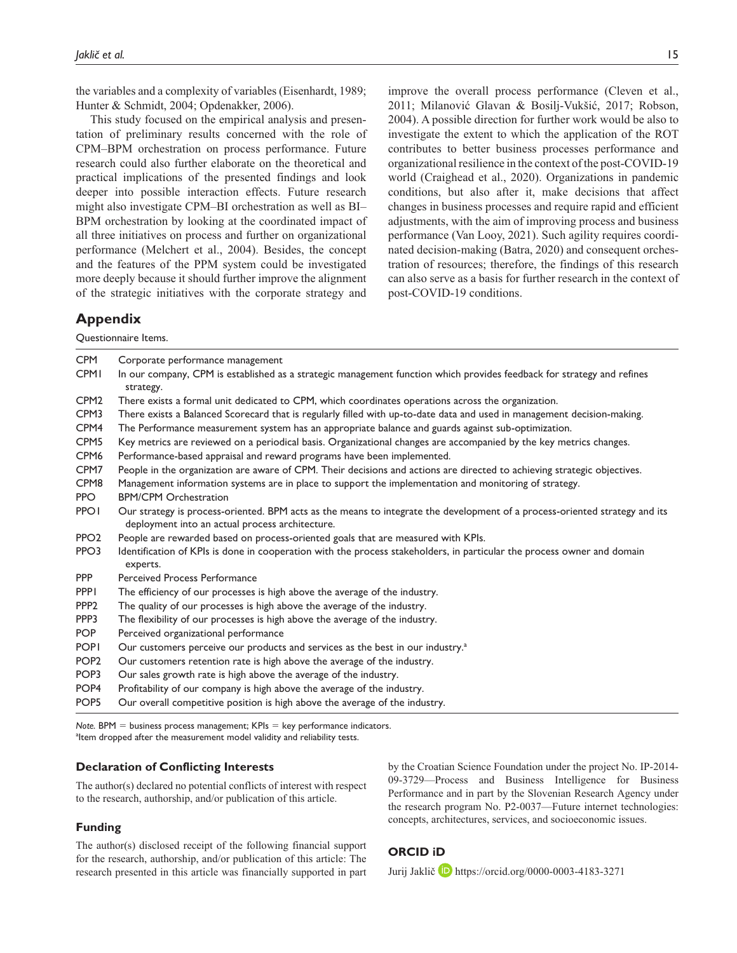the variables and a complexity of variables (Eisenhardt, 1989; Hunter & Schmidt, 2004; Opdenakker, 2006).

This study focused on the empirical analysis and presentation of preliminary results concerned with the role of CPM–BPM orchestration on process performance. Future research could also further elaborate on the theoretical and practical implications of the presented findings and look deeper into possible interaction effects. Future research might also investigate CPM–BI orchestration as well as BI– BPM orchestration by looking at the coordinated impact of all three initiatives on process and further on organizational performance (Melchert et al., 2004). Besides, the concept and the features of the PPM system could be investigated more deeply because it should further improve the alignment of the strategic initiatives with the corporate strategy and

improve the overall process performance (Cleven et al., 2011; Milanović Glavan & Bosilj-Vukšić, 2017; Robson, 2004). A possible direction for further work would be also to investigate the extent to which the application of the ROT contributes to better business processes performance and organizational resilience in the context of the post-COVID-19 world (Craighead et al., 2020). Organizations in pandemic conditions, but also after it, make decisions that affect changes in business processes and require rapid and efficient adjustments, with the aim of improving process and business performance (Van Looy, 2021). Such agility requires coordinated decision-making (Batra, 2020) and consequent orchestration of resources; therefore, the findings of this research can also serve as a basis for further research in the context of post-COVID-19 conditions.

## **Appendix**

Questionnaire Items.

| <b>CPM</b>       | Corporate performance management                                                                                                                                               |
|------------------|--------------------------------------------------------------------------------------------------------------------------------------------------------------------------------|
| <b>CPMI</b>      | In our company, CPM is established as a strategic management function which provides feedback for strategy and refines<br>strategy.                                            |
| CPM <sub>2</sub> | There exists a formal unit dedicated to CPM, which coordinates operations across the organization.                                                                             |
| CPM <sub>3</sub> | There exists a Balanced Scorecard that is regularly filled with up-to-date data and used in management decision-making.                                                        |
| CPM4             | The Performance measurement system has an appropriate balance and guards against sub-optimization.                                                                             |
| CPM <sub>5</sub> | Key metrics are reviewed on a periodical basis. Organizational changes are accompanied by the key metrics changes.                                                             |
| CPM <sub>6</sub> | Performance-based appraisal and reward programs have been implemented.                                                                                                         |
| CPM7             | People in the organization are aware of CPM. Their decisions and actions are directed to achieving strategic objectives.                                                       |
| CPM8             | Management information systems are in place to support the implementation and monitoring of strategy.                                                                          |
| <b>PPO</b>       | <b>BPM/CPM Orchestration</b>                                                                                                                                                   |
| <b>PPOI</b>      | Our strategy is process-oriented. BPM acts as the means to integrate the development of a process-oriented strategy and its<br>deployment into an actual process architecture. |
| PPO <sub>2</sub> | People are rewarded based on process-oriented goals that are measured with KPIs.                                                                                               |
| PPO3             | Identification of KPIs is done in cooperation with the process stakeholders, in particular the process owner and domain<br>experts.                                            |
| <b>PPP</b>       | <b>Perceived Process Performance</b>                                                                                                                                           |
| <b>PPPI</b>      | The efficiency of our processes is high above the average of the industry.                                                                                                     |
| PPP <sub>2</sub> | The quality of our processes is high above the average of the industry.                                                                                                        |
| PPP3             | The flexibility of our processes is high above the average of the industry.                                                                                                    |
| <b>POP</b>       | Perceived organizational performance                                                                                                                                           |
| <b>POPI</b>      | Our customers perceive our products and services as the best in our industry. <sup>a</sup>                                                                                     |
| POP <sub>2</sub> | Our customers retention rate is high above the average of the industry.                                                                                                        |
| POP <sub>3</sub> | Our sales growth rate is high above the average of the industry.                                                                                                               |
| POP <sub>4</sub> | Profitability of our company is high above the average of the industry.                                                                                                        |

*Note.* BPM = business process management; KPIs = key performance indicators. <sup>a</sup>ltem dropped after the measurement model validity and reliability tests.

POP5 Our overall competitive position is high above the average of the industry.

#### **Declaration of Conflicting Interests**

The author(s) declared no potential conflicts of interest with respect to the research, authorship, and/or publication of this article.

#### **Funding**

The author(s) disclosed receipt of the following financial support for the research, authorship, and/or publication of this article: The research presented in this article was financially supported in part

by the Croatian Science Foundation under the project No. IP-2014- 09-3729—Process and Business Intelligence for Business Performance and in part by the Slovenian Research Agency under the research program No. P2-0037—Future internet technologies: concepts, architectures, services, and socioeconomic issues.

## **ORCID iD**

Jurij Jaklič D <https://orcid.org/0000-0003-4183-3271>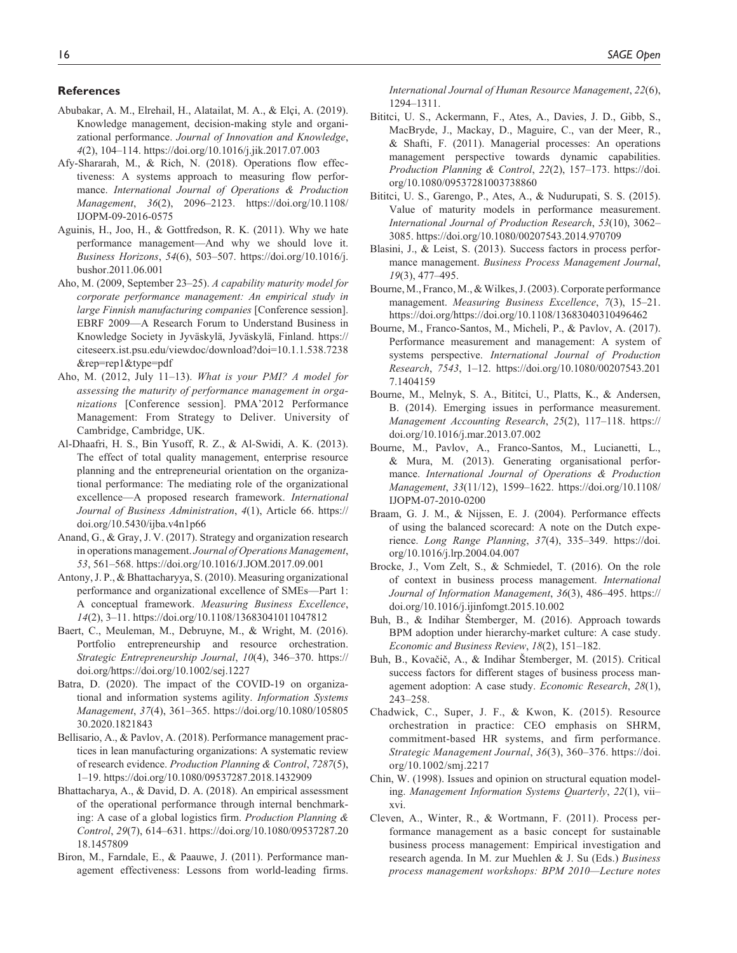#### **References**

- Abubakar, A. M., Elrehail, H., Alatailat, M. A., & Elçi, A. (2019). Knowledge management, decision-making style and organizational performance. *Journal of Innovation and Knowledge*, *4*(2), 104–114.<https://doi.org/10.1016/j.jik.2017.07.003>
- Afy-Shararah, M., & Rich, N. (2018). Operations flow effectiveness: A systems approach to measuring flow performance. *International Journal of Operations & Production Management*, *36*(2), 2096–2123. [https://doi.org/10.1108/](https://doi.org/10.1108/IJOPM-09-2016-0575) [IJOPM-09-2016-0575](https://doi.org/10.1108/IJOPM-09-2016-0575)
- Aguinis, H., Joo, H., & Gottfredson, R. K. (2011). Why we hate performance management—And why we should love it. *Business Horizons*, *54*(6), 503–507. [https://doi.org/10.1016/j.](https://doi.org/10.1016/j.bushor.2011.06.001) [bushor.2011.06.001](https://doi.org/10.1016/j.bushor.2011.06.001)
- Aho, M. (2009, September 23–25). *A capability maturity model for corporate performance management: An empirical study in large Finnish manufacturing companies* [Conference session]. EBRF 2009—A Research Forum to Understand Business in Knowledge Society in Jyväskylä, Jyväskylä, Finland. [https://](https://citeseerx.ist.psu.edu/viewdoc/download?doi=10.1.1.538.7238&rep=rep1&type=pdf) [citeseerx.ist.psu.edu/viewdoc/download?doi=10.1.1.538.7238](https://citeseerx.ist.psu.edu/viewdoc/download?doi=10.1.1.538.7238&rep=rep1&type=pdf) [&rep=rep1&type=pdf](https://citeseerx.ist.psu.edu/viewdoc/download?doi=10.1.1.538.7238&rep=rep1&type=pdf)
- Aho, M. (2012, July 11–13). *What is your PMI? A model for assessing the maturity of performance management in organizations* [Conference session]. PMA'2012 Performance Management: From Strategy to Deliver. University of Cambridge, Cambridge, UK.
- Al-Dhaafri, H. S., Bin Yusoff, R. Z., & Al-Swidi, A. K. (2013). The effect of total quality management, enterprise resource planning and the entrepreneurial orientation on the organizational performance: The mediating role of the organizational excellence—A proposed research framework. *International Journal of Business Administration*, *4*(1), Article 66. [https://](https://doi.org/10.5430/ijba.v4n1p66) [doi.org/10.5430/ijba.v4n1p66](https://doi.org/10.5430/ijba.v4n1p66)
- Anand, G., & Gray, J. V. (2017). Strategy and organization research in operations management. *Journal of Operations Management*, *53*, 561–568. <https://doi.org/10.1016/J.JOM.2017.09.001>
- Antony, J. P., & Bhattacharyya, S. (2010). Measuring organizational performance and organizational excellence of SMEs—Part 1: A conceptual framework. *Measuring Business Excellence*, *14*(2), 3–11.<https://doi.org/10.1108/13683041011047812>
- Baert, C., Meuleman, M., Debruyne, M., & Wright, M. (2016). Portfolio entrepreneurship and resource orchestration. *Strategic Entrepreneurship Journal*, *10*(4), 346–370. [https://](https://doi.org/https://doi.org/10.1002/sej.1227) [doi.org/https://doi.org/10.1002/sej.1227](https://doi.org/https://doi.org/10.1002/sej.1227)
- Batra, D. (2020). The impact of the COVID-19 on organizational and information systems agility. *Information Systems Management*, *37*(4), 361–365. [https://doi.org/10.1080/105805](https://doi.org/10.1080/10580530.2020.1821843) [30.2020.1821843](https://doi.org/10.1080/10580530.2020.1821843)
- Bellisario, A., & Pavlov, A. (2018). Performance management practices in lean manufacturing organizations: A systematic review of research evidence. *Production Planning & Control*, *7287*(5), 1–19.<https://doi.org/10.1080/09537287.2018.1432909>
- Bhattacharya, A., & David, D. A. (2018). An empirical assessment of the operational performance through internal benchmarking: A case of a global logistics firm. *Production Planning & Control*, *29*(7), 614–631. [https://doi.org/10.1080/09537287.20](https://doi.org/10.1080/09537287.2018.1457809) [18.1457809](https://doi.org/10.1080/09537287.2018.1457809)
- Biron, M., Farndale, E., & Paauwe, J. (2011). Performance management effectiveness: Lessons from world-leading firms.

*International Journal of Human Resource Management*, *22*(6), 1294–1311.

- Bititci, U. S., Ackermann, F., Ates, A., Davies, J. D., Gibb, S., MacBryde, J., Mackay, D., Maguire, C., van der Meer, R., & Shafti, F. (2011). Managerial processes: An operations management perspective towards dynamic capabilities. *Production Planning & Control*, *22*(2), 157–173. [https://doi.](https://doi.org/10.1080/09537281003738860) [org/10.1080/09537281003738860](https://doi.org/10.1080/09537281003738860)
- Bititci, U. S., Garengo, P., Ates, A., & Nudurupati, S. S. (2015). Value of maturity models in performance measurement. *International Journal of Production Research*, *53*(10), 3062– 3085. <https://doi.org/10.1080/00207543.2014.970709>
- Blasini, J., & Leist, S. (2013). Success factors in process performance management. *Business Process Management Journal*, *19*(3), 477–495.
- Bourne, M., Franco, M., & Wilkes, J. (2003). Corporate performance management. *Measuring Business Excellence*, *7*(3), 15–21. <https://doi.org/https://doi.org/10.1108/13683040310496462>
- Bourne, M., Franco-Santos, M., Micheli, P., & Pavlov, A. (2017). Performance measurement and management: A system of systems perspective. *International Journal of Production Research*, *7543*, 1–12. [https://doi.org/10.1080/00207543.201](https://doi.org/10.1080/00207543.2017.1404159) [7.1404159](https://doi.org/10.1080/00207543.2017.1404159)
- Bourne, M., Melnyk, S. A., Bititci, U., Platts, K., & Andersen, B. (2014). Emerging issues in performance measurement. *Management Accounting Research*, *25*(2), 117–118. [https://](https://doi.org/10.1016/j.mar.2013.07.002) [doi.org/10.1016/j.mar.2013.07.002](https://doi.org/10.1016/j.mar.2013.07.002)
- Bourne, M., Pavlov, A., Franco-Santos, M., Lucianetti, L., & Mura, M. (2013). Generating organisational performance. *International Journal of Operations & Production Management*, *33*(11/12), 1599–1622. [https://doi.org/10.1108/](https://doi.org/10.1108/IJOPM-07-2010-0200) [IJOPM-07-2010-0200](https://doi.org/10.1108/IJOPM-07-2010-0200)
- Braam, G. J. M., & Nijssen, E. J. (2004). Performance effects of using the balanced scorecard: A note on the Dutch experience. *Long Range Planning*, *37*(4), 335–349. [https://doi.](https://doi.org/10.1016/j.lrp.2004.04.007) [org/10.1016/j.lrp.2004.04.007](https://doi.org/10.1016/j.lrp.2004.04.007)
- Brocke, J., Vom Zelt, S., & Schmiedel, T. (2016). On the role of context in business process management. *International Journal of Information Management*, *36*(3), 486–495. [https://](https://doi.org/10.1016/j.ijinfomgt.2015.10.002) [doi.org/10.1016/j.ijinfomgt.2015.10.002](https://doi.org/10.1016/j.ijinfomgt.2015.10.002)
- Buh, B., & Indihar Štemberger, M. (2016). Approach towards BPM adoption under hierarchy-market culture: A case study. *Economic and Business Review*, *18*(2), 151–182.
- Buh, B., Kovačič, A., & Indihar Štemberger, M. (2015). Critical success factors for different stages of business process management adoption: A case study. *Economic Research*, *28*(1), 243–258.
- Chadwick, C., Super, J. F., & Kwon, K. (2015). Resource orchestration in practice: CEO emphasis on SHRM, commitment-based HR systems, and firm performance. *Strategic Management Journal*, *36*(3), 360–376. [https://doi.](https://doi.org/10.1002/smj.2217) [org/10.1002/smj.2217](https://doi.org/10.1002/smj.2217)
- Chin, W. (1998). Issues and opinion on structural equation modeling. *Management Information Systems Quarterly*, *22*(1), vii– xvi.
- Cleven, A., Winter, R., & Wortmann, F. (2011). Process performance management as a basic concept for sustainable business process management: Empirical investigation and research agenda. In M. zur Muehlen & J. Su (Eds.) *Business process management workshops: BPM 2010—Lecture notes*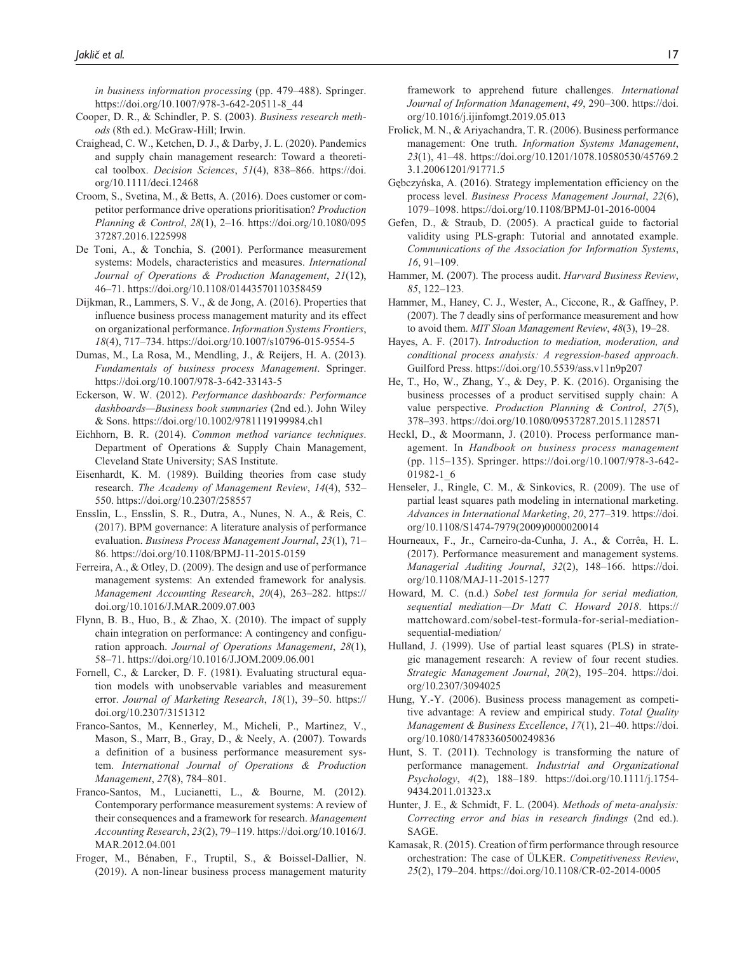*in business information processing* (pp. 479–488). Springer. [https://doi.org/10.1007/978-3-642-20511-8\\_44](https://doi.org/10.1007/978-3-642-20511-8_44)

- Cooper, D. R., & Schindler, P. S. (2003). *Business research methods* (8th ed.). McGraw-Hill; Irwin.
- Craighead, C. W., Ketchen, D. J., & Darby, J. L. (2020). Pandemics and supply chain management research: Toward a theoretical toolbox. *Decision Sciences*, *51*(4), 838–866. [https://doi.](https://doi.org/10.1111/deci.12468) [org/10.1111/deci.12468](https://doi.org/10.1111/deci.12468)
- Croom, S., Svetina, M., & Betts, A. (2016). Does customer or competitor performance drive operations prioritisation? *Production Planning & Control*, *28*(1), 2–16. [https://doi.org/10.1080/095](https://doi.org/10.1080/09537287.2016.1225998) [37287.2016.1225998](https://doi.org/10.1080/09537287.2016.1225998)
- De Toni, A., & Tonchia, S. (2001). Performance measurement systems: Models, characteristics and measures. *International Journal of Operations & Production Management*, *21*(12), 46–71. <https://doi.org/10.1108/01443570110358459>
- Dijkman, R., Lammers, S. V., & de Jong, A. (2016). Properties that influence business process management maturity and its effect on organizational performance. *Information Systems Frontiers*, *18*(4), 717–734. <https://doi.org/10.1007/s10796-015-9554-5>
- Dumas, M., La Rosa, M., Mendling, J., & Reijers, H. A. (2013). *Fundamentals of business process Management*. Springer. <https://doi.org/10.1007/978-3-642-33143-5>
- Eckerson, W. W. (2012). *Performance dashboards: Performance dashboards—Business book summaries* (2nd ed.). John Wiley & Sons.<https://doi.org/10.1002/9781119199984.ch1>
- Eichhorn, B. R. (2014). *Common method variance techniques*. Department of Operations & Supply Chain Management, Cleveland State University; SAS Institute.
- Eisenhardt, K. M. (1989). Building theories from case study research. *The Academy of Management Review*, *14*(4), 532– 550. <https://doi.org/10.2307/258557>
- Ensslin, L., Ensslin, S. R., Dutra, A., Nunes, N. A., & Reis, C. (2017). BPM governance: A literature analysis of performance evaluation. *Business Process Management Journal*, *23*(1), 71– 86.<https://doi.org/10.1108/BPMJ-11-2015-0159>
- Ferreira, A., & Otley, D. (2009). The design and use of performance management systems: An extended framework for analysis. *Management Accounting Research*, *20*(4), 263–282. [https://](https://doi.org/10.1016/J.MAR.2009.07.003) [doi.org/10.1016/J.MAR.2009.07.003](https://doi.org/10.1016/J.MAR.2009.07.003)
- Flynn, B. B., Huo, B., & Zhao, X. (2010). The impact of supply chain integration on performance: A contingency and configuration approach. *Journal of Operations Management*, *28*(1), 58–71.<https://doi.org/10.1016/J.JOM.2009.06.001>
- Fornell, C., & Larcker, D. F. (1981). Evaluating structural equation models with unobservable variables and measurement error. *Journal of Marketing Research*, *18*(1), 39–50. [https://](https://doi.org/10.2307/3151312) [doi.org/10.2307/3151312](https://doi.org/10.2307/3151312)
- Franco-Santos, M., Kennerley, M., Micheli, P., Martinez, V., Mason, S., Marr, B., Gray, D., & Neely, A. (2007). Towards a definition of a business performance measurement system. *International Journal of Operations & Production Management*, *27*(8), 784–801.
- Franco-Santos, M., Lucianetti, L., & Bourne, M. (2012). Contemporary performance measurement systems: A review of their consequences and a framework for research. *Management Accounting Research*, *23*(2), 79–119. [https://doi.org/10.1016/J.](https://doi.org/10.1016/J.MAR.2012.04.001) [MAR.2012.04.001](https://doi.org/10.1016/J.MAR.2012.04.001)
- Froger, M., Bénaben, F., Truptil, S., & Boissel-Dallier, N. (2019). A non-linear business process management maturity

framework to apprehend future challenges. *International Journal of Information Management*, *49*, 290–300. [https://doi.](https://doi.org/10.1016/j.ijinfomgt.2019.05.013) [org/10.1016/j.ijinfomgt.2019.05.013](https://doi.org/10.1016/j.ijinfomgt.2019.05.013)

- Frolick, M. N., & Ariyachandra, T. R. (2006). Business performance management: One truth. *Information Systems Management*, *23*(1), 41–48. [https://doi.org/10.1201/1078.10580530/45769.2](https://doi.org/10.1201/1078.10580530/45769.23.1.20061201/91771.5) [3.1.20061201/91771.5](https://doi.org/10.1201/1078.10580530/45769.23.1.20061201/91771.5)
- Gębczyńska, A. (2016). Strategy implementation efficiency on the process level. *Business Process Management Journal*, *22*(6), 1079–1098. <https://doi.org/10.1108/BPMJ-01-2016-0004>
- Gefen, D., & Straub, D. (2005). A practical guide to factorial validity using PLS-graph: Tutorial and annotated example. *Communications of the Association for Information Systems*, *16*, 91–109.
- Hammer, M. (2007). The process audit. *Harvard Business Review*, *85*, 122–123.
- Hammer, M., Haney, C. J., Wester, A., Ciccone, R., & Gaffney, P. (2007). The 7 deadly sins of performance measurement and how to avoid them. *MIT Sloan Management Review*, *48*(3), 19–28.
- Hayes, A. F. (2017). *Introduction to mediation, moderation, and conditional process analysis: A regression-based approach*. Guilford Press.<https://doi.org/10.5539/ass.v11n9p207>
- He, T., Ho, W., Zhang, Y., & Dey, P. K. (2016). Organising the business processes of a product servitised supply chain: A value perspective. *Production Planning & Control*, *27*(5), 378–393.<https://doi.org/10.1080/09537287.2015.1128571>
- Heckl, D., & Moormann, J. (2010). Process performance management. In *Handbook on business process management* (pp. 115–135). Springer. [https://doi.org/10.1007/978-3-642-](https://doi.org/10.1007/978-3-642-01982-1_6) [01982-1\\_6](https://doi.org/10.1007/978-3-642-01982-1_6)
- Henseler, J., Ringle, C. M., & Sinkovics, R. (2009). The use of partial least squares path modeling in international marketing. *Advances in International Marketing*, *20*, 277–319. [https://doi.](https://doi.org/10.1108/S1474-7979(2009)0000020014) [org/10.1108/S1474-7979\(2009\)0000020014](https://doi.org/10.1108/S1474-7979(2009)0000020014)
- Hourneaux, F., Jr., Carneiro-da-Cunha, J. A., & Corrêa, H. L. (2017). Performance measurement and management systems. *Managerial Auditing Journal*, *32*(2), 148–166. [https://doi.](https://doi.org/10.1108/MAJ-11-2015-1277) [org/10.1108/MAJ-11-2015-1277](https://doi.org/10.1108/MAJ-11-2015-1277)
- Howard, M. C. (n.d.) *Sobel test formula for serial mediation, sequential mediation—Dr Matt C. Howard 2018*. [https://](https://mattchoward.com/sobel-test-formula-for-serial-mediation-sequential-mediation/) [mattchoward.com/sobel-test-formula-for-serial-mediation](https://mattchoward.com/sobel-test-formula-for-serial-mediation-sequential-mediation/)[sequential-mediation/](https://mattchoward.com/sobel-test-formula-for-serial-mediation-sequential-mediation/)
- Hulland, J. (1999). Use of partial least squares (PLS) in strategic management research: A review of four recent studies. *Strategic Management Journal*, *20*(2), 195–204. [https://doi.](https://doi.org/10.2307/3094025) [org/10.2307/3094025](https://doi.org/10.2307/3094025)
- Hung, Y.-Y. (2006). Business process management as competitive advantage: A review and empirical study. *Total Quality Management & Business Excellence*, *17*(1), 21–40. [https://doi.](https://doi.org/10.1080/14783360500249836) [org/10.1080/14783360500249836](https://doi.org/10.1080/14783360500249836)
- Hunt, S. T. (2011). Technology is transforming the nature of performance management. *Industrial and Organizational Psychology*, *4*(2), 188–189. [https://doi.org/10.1111/j.1754-](https://doi.org/10.1111/j.1754-9434.2011.01323.x) [9434.2011.01323.x](https://doi.org/10.1111/j.1754-9434.2011.01323.x)
- Hunter, J. E., & Schmidt, F. L. (2004). *Methods of meta-analysis: Correcting error and bias in research findings* (2nd ed.). SAGE.
- Kamasak, R. (2015). Creation of firm performance through resource orchestration: The case of ÜLKER. *Competitiveness Review*, *25*(2), 179–204.<https://doi.org/10.1108/CR-02-2014-0005>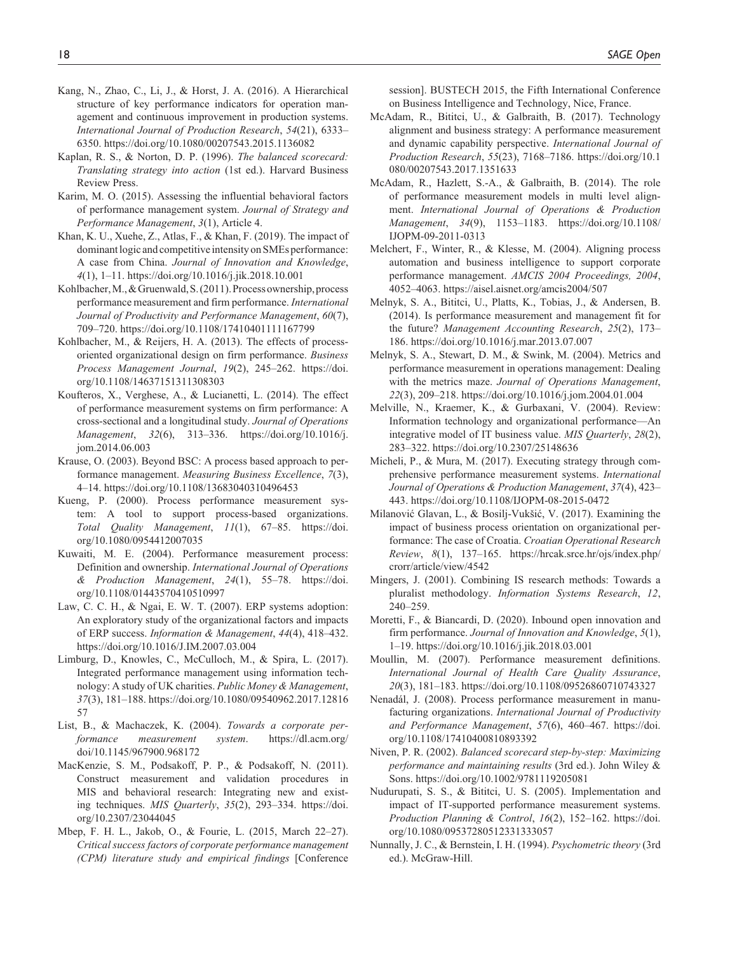- Kang, N., Zhao, C., Li, J., & Horst, J. A. (2016). A Hierarchical structure of key performance indicators for operation management and continuous improvement in production systems. *International Journal of Production Research*, *54*(21), 6333– 6350.<https://doi.org/10.1080/00207543.2015.1136082>
- Kaplan, R. S., & Norton, D. P. (1996). *The balanced scorecard: Translating strategy into action* (1st ed.). Harvard Business Review Press.
- Karim, M. O. (2015). Assessing the influential behavioral factors of performance management system. *Journal of Strategy and Performance Management*, *3*(1), Article 4.
- Khan, K. U., Xuehe, Z., Atlas, F., & Khan, F. (2019). The impact of dominant logic and competitive intensity on SMEs performance: A case from China. *Journal of Innovation and Knowledge*, *4*(1), 1–11. <https://doi.org/10.1016/j.jik.2018.10.001>
- Kohlbacher, M., & Gruenwald, S. (2011). Process ownership, process performance measurement and firm performance. *International Journal of Productivity and Performance Management*, *60*(7), 709–720.<https://doi.org/10.1108/17410401111167799>
- Kohlbacher, M., & Reijers, H. A. (2013). The effects of processoriented organizational design on firm performance. *Business Process Management Journal*, *19*(2), 245–262. [https://doi.](https://doi.org/10.1108/14637151311308303) [org/10.1108/14637151311308303](https://doi.org/10.1108/14637151311308303)
- Koufteros, X., Verghese, A., & Lucianetti, L. (2014). The effect of performance measurement systems on firm performance: A cross-sectional and a longitudinal study. *Journal of Operations Management*, *32*(6), 313–336. [https://doi.org/10.1016/j.](https://doi.org/10.1016/j.jom.2014.06.003) [jom.2014.06.003](https://doi.org/10.1016/j.jom.2014.06.003)
- Krause, O. (2003). Beyond BSC: A process based approach to performance management. *Measuring Business Excellence*, *7*(3), 4–14.<https://doi.org/10.1108/13683040310496453>
- Kueng, P. (2000). Process performance measurement system: A tool to support process-based organizations. *Total Quality Management*, *11*(1), 67–85. [https://doi.](https://doi.org/10.1080/0954412007035) [org/10.1080/0954412007035](https://doi.org/10.1080/0954412007035)
- Kuwaiti, M. E. (2004). Performance measurement process: Definition and ownership. *International Journal of Operations & Production Management*, *24*(1), 55–78. [https://doi.](https://doi.org/10.1108/01443570410510997) [org/10.1108/01443570410510997](https://doi.org/10.1108/01443570410510997)
- Law, C. C. H., & Ngai, E. W. T. (2007). ERP systems adoption: An exploratory study of the organizational factors and impacts of ERP success. *Information & Management*, *44*(4), 418–432. <https://doi.org/10.1016/J.IM.2007.03.004>
- Limburg, D., Knowles, C., McCulloch, M., & Spira, L. (2017). Integrated performance management using information technology: A study of UK charities. *Public Money & Management*, *37*(3), 181–188. [https://doi.org/10.1080/09540962.2017.12816](https://doi.org/10.1080/09540962.2017.1281657) [57](https://doi.org/10.1080/09540962.2017.1281657)
- List, B., & Machaczek, K. (2004). *Towards a corporate performance measurement system*. [https://dl.acm.org/](https://dl.acm.org/doi/10.1145/967900.968172) [doi/10.1145/967900.968172](https://dl.acm.org/doi/10.1145/967900.968172)
- MacKenzie, S. M., Podsakoff, P. P., & Podsakoff, N. (2011). Construct measurement and validation procedures in MIS and behavioral research: Integrating new and existing techniques. *MIS Quarterly*, *35*(2), 293–334. [https://doi.](https://doi.org/10.2307/23044045) [org/10.2307/23044045](https://doi.org/10.2307/23044045)
- Mbep, F. H. L., Jakob, O., & Fourie, L. (2015, March 22–27). *Critical success factors of corporate performance management (CPM) literature study and empirical findings* [Conference

session]. BUSTECH 2015, the Fifth International Conference on Business Intelligence and Technology, Nice, France.

- McAdam, R., Bititci, U., & Galbraith, B. (2017). Technology alignment and business strategy: A performance measurement and dynamic capability perspective. *International Journal of Production Research*, *55*(23), 7168–7186. [https://doi.org/10.1](https://doi.org/10.1080/00207543.2017.1351633) [080/00207543.2017.1351633](https://doi.org/10.1080/00207543.2017.1351633)
- McAdam, R., Hazlett, S.-A., & Galbraith, B. (2014). The role of performance measurement models in multi level alignment. *International Journal of Operations & Production Management*, *34*(9), 1153–1183. [https://doi.org/10.1108/](https://doi.org/10.1108/IJOPM-09-2011-0313) [IJOPM-09-2011-0313](https://doi.org/10.1108/IJOPM-09-2011-0313)
- Melchert, F., Winter, R., & Klesse, M. (2004). Aligning process automation and business intelligence to support corporate performance management. *AMCIS 2004 Proceedings, 2004*, 4052–4063.<https://aisel.aisnet.org/amcis2004/507>
- Melnyk, S. A., Bititci, U., Platts, K., Tobias, J., & Andersen, B. (2014). Is performance measurement and management fit for the future? *Management Accounting Research*, *25*(2), 173– 186. <https://doi.org/10.1016/j.mar.2013.07.007>
- Melnyk, S. A., Stewart, D. M., & Swink, M. (2004). Metrics and performance measurement in operations management: Dealing with the metrics maze. *Journal of Operations Management*, *22*(3), 209–218.<https://doi.org/10.1016/j.jom.2004.01.004>
- Melville, N., Kraemer, K., & Gurbaxani, V. (2004). Review: Information technology and organizational performance—An integrative model of IT business value. *MIS Quarterly*, *28*(2), 283–322. <https://doi.org/10.2307/25148636>
- Micheli, P., & Mura, M. (2017). Executing strategy through comprehensive performance measurement systems. *International Journal of Operations & Production Management*, *37*(4), 423– 443. <https://doi.org/10.1108/IJOPM-08-2015-0472>
- Milanović Glavan, L., & Bosilj-Vukšić, V. (2017). Examining the impact of business process orientation on organizational performance: The case of Croatia. *Croatian Operational Research Review*, *8*(1), 137–165. [https://hrcak.srce.hr/ojs/index.php/](https://hrcak.srce.hr/ojs/index.php/crorr/article/view/4542) [crorr/article/view/4542](https://hrcak.srce.hr/ojs/index.php/crorr/article/view/4542)
- Mingers, J. (2001). Combining IS research methods: Towards a pluralist methodology. *Information Systems Research*, *12*, 240–259.
- Moretti, F., & Biancardi, D. (2020). Inbound open innovation and firm performance. *Journal of Innovation and Knowledge*, *5*(1), 1–19. <https://doi.org/10.1016/j.jik.2018.03.001>
- Moullin, M. (2007). Performance measurement definitions. *International Journal of Health Care Quality Assurance*, *20*(3), 181–183.<https://doi.org/10.1108/09526860710743327>
- Nenadál, J. (2008). Process performance measurement in manufacturing organizations. *International Journal of Productivity and Performance Management*, *57*(6), 460–467. [https://doi.](https://doi.org/10.1108/17410400810893392) [org/10.1108/17410400810893392](https://doi.org/10.1108/17410400810893392)
- Niven, P. R. (2002). *Balanced scorecard step-by-step: Maximizing performance and maintaining results* (3rd ed.). John Wiley & Sons. <https://doi.org/10.1002/9781119205081>
- Nudurupati, S. S., & Bititci, U. S. (2005). Implementation and impact of IT-supported performance measurement systems. *Production Planning & Control*, *16*(2), 152–162. [https://doi.](https://doi.org/10.1080/09537280512331333057) [org/10.1080/09537280512331333057](https://doi.org/10.1080/09537280512331333057)
- Nunnally, J. C., & Bernstein, I. H. (1994). *Psychometric theory* (3rd ed.). McGraw-Hill.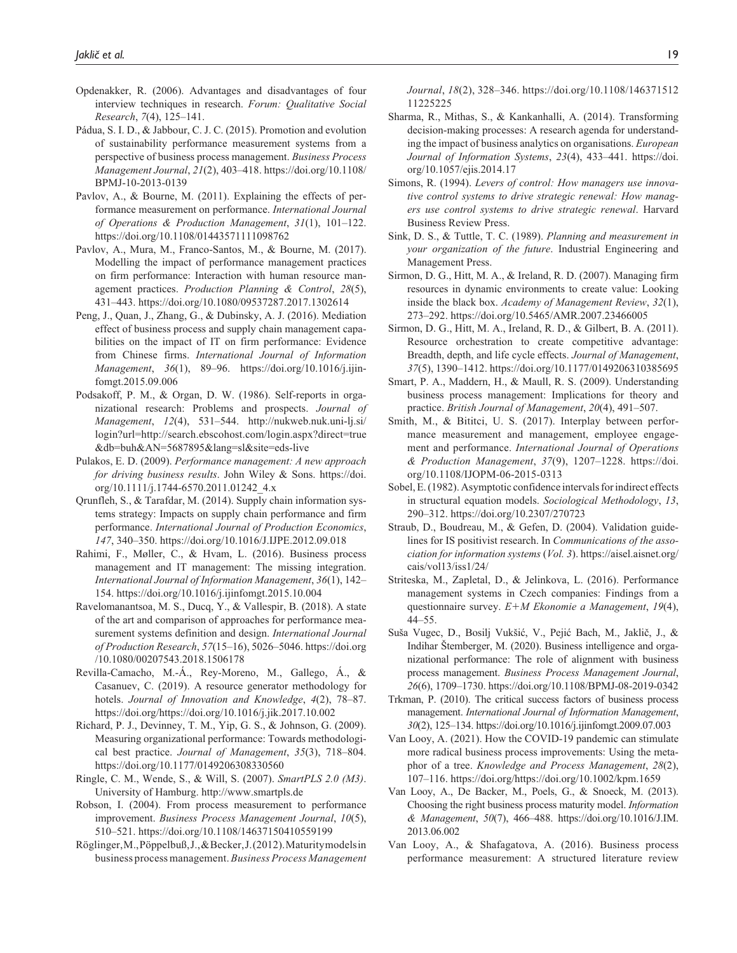- Opdenakker, R. (2006). Advantages and disadvantages of four interview techniques in research. *Forum: Qualitative Social Research*, *7*(4), 125–141.
- Pádua, S. I. D., & Jabbour, C. J. C. (2015). Promotion and evolution of sustainability performance measurement systems from a perspective of business process management. *Business Process Management Journal*, *21*(2), 403–418. [https://doi.org/10.1108/](https://doi.org/10.1108/BPMJ-10-2013-0139) [BPMJ-10-2013-0139](https://doi.org/10.1108/BPMJ-10-2013-0139)
- Pavlov, A., & Bourne, M. (2011). Explaining the effects of performance measurement on performance. *International Journal of Operations & Production Management*, *31*(1), 101–122. <https://doi.org/10.1108/01443571111098762>
- Pavlov, A., Mura, M., Franco-Santos, M., & Bourne, M. (2017). Modelling the impact of performance management practices on firm performance: Interaction with human resource management practices. *Production Planning & Control*, *28*(5), 431–443.<https://doi.org/10.1080/09537287.2017.1302614>
- Peng, J., Quan, J., Zhang, G., & Dubinsky, A. J. (2016). Mediation effect of business process and supply chain management capabilities on the impact of IT on firm performance: Evidence from Chinese firms. *International Journal of Information Management*, *36*(1), 89–96. [https://doi.org/10.1016/j.ijin](https://doi.org/10.1016/j.ijinfomgt.2015.09.006)[fomgt.2015.09.006](https://doi.org/10.1016/j.ijinfomgt.2015.09.006)
- Podsakoff, P. M., & Organ, D. W. (1986). Self-reports in organizational research: Problems and prospects. *Journal of Management*, *12*(4), 531–544. [http://nukweb.nuk.uni-lj.si/](http://nukweb.nuk.uni-lj.si/login?url=http://search.ebscohost.com/login.aspx?direct=true&db=buh&AN=5687895&lang=sl&site=eds-live) [login?url=http://search.ebscohost.com/login.aspx?direct=true](http://nukweb.nuk.uni-lj.si/login?url=http://search.ebscohost.com/login.aspx?direct=true&db=buh&AN=5687895&lang=sl&site=eds-live) [&db=buh&AN=5687895&lang=sl&site=eds-live](http://nukweb.nuk.uni-lj.si/login?url=http://search.ebscohost.com/login.aspx?direct=true&db=buh&AN=5687895&lang=sl&site=eds-live)
- Pulakos, E. D. (2009). *Performance management: A new approach for driving business results*. John Wiley & Sons. [https://doi.](https://doi.org/10.1111/j.1744-6570.2011.01242_4.x) [org/10.1111/j.1744-6570.2011.01242\\_4.x](https://doi.org/10.1111/j.1744-6570.2011.01242_4.x)
- Qrunfleh, S., & Tarafdar, M. (2014). Supply chain information systems strategy: Impacts on supply chain performance and firm performance. *International Journal of Production Economics*, *147*, 340–350.<https://doi.org/10.1016/J.IJPE.2012.09.018>
- Rahimi, F., Møller, C., & Hvam, L. (2016). Business process management and IT management: The missing integration. *International Journal of Information Management*, *36*(1), 142– 154.<https://doi.org/10.1016/j.ijinfomgt.2015.10.004>
- Ravelomanantsoa, M. S., Ducq, Y., & Vallespir, B. (2018). A state of the art and comparison of approaches for performance measurement systems definition and design. *International Journal of Production Research*, *57*(15–16), 5026–5046. [https://doi.org](https://doi.org/10.1080/00207543.2018.1506178) [/10.1080/00207543.2018.1506178](https://doi.org/10.1080/00207543.2018.1506178)
- Revilla-Camacho, M.-Á., Rey-Moreno, M., Gallego, Á., & Casanuev, C. (2019). A resource generator methodology for hotels. *Journal of Innovation and Knowledge*, *4*(2), 78–87. <https://doi.org/https://doi.org/10.1016/j.jik.2017.10.002>
- Richard, P. J., Devinney, T. M., Yip, G. S., & Johnson, G. (2009). Measuring organizational performance: Towards methodological best practice. *Journal of Management*, *35*(3), 718–804. <https://doi.org/10.1177/0149206308330560>
- Ringle, C. M., Wende, S., & Will, S. (2007). *SmartPLS 2.0 (M3)*. University of Hamburg.<http://www.smartpls.de>
- Robson, I. (2004). From process measurement to performance improvement. *Business Process Management Journal*, *10*(5), 510–521.<https://doi.org/10.1108/14637150410559199>
- Röglinger, M., Pöppelbuß, J., & Becker, J. (2012). Maturity models in business process management. *Business Process Management*

*Journal*, *18*(2), 328–346. [https://doi.org/10.1108/146371512](https://doi.org/10.1108/14637151211225225) [11225225](https://doi.org/10.1108/14637151211225225)

- Sharma, R., Mithas, S., & Kankanhalli, A. (2014). Transforming decision-making processes: A research agenda for understanding the impact of business analytics on organisations. *European Journal of Information Systems*, *23*(4), 433–441. [https://doi.](https://doi.org/10.1057/ejis.2014.17) [org/10.1057/ejis.2014.17](https://doi.org/10.1057/ejis.2014.17)
- Simons, R. (1994). *Levers of control: How managers use innovative control systems to drive strategic renewal: How managers use control systems to drive strategic renewal*. Harvard Business Review Press.
- Sink, D. S., & Tuttle, T. C. (1989). *Planning and measurement in your organization of the future*. Industrial Engineering and Management Press.
- Sirmon, D. G., Hitt, M. A., & Ireland, R. D. (2007). Managing firm resources in dynamic environments to create value: Looking inside the black box. *Academy of Management Review*, *32*(1), 273–292.<https://doi.org/10.5465/AMR.2007.23466005>
- Sirmon, D. G., Hitt, M. A., Ireland, R. D., & Gilbert, B. A. (2011). Resource orchestration to create competitive advantage: Breadth, depth, and life cycle effects. *Journal of Management*, *37*(5), 1390–1412.<https://doi.org/10.1177/0149206310385695>
- Smart, P. A., Maddern, H., & Maull, R. S. (2009). Understanding business process management: Implications for theory and practice. *British Journal of Management*, *20*(4), 491–507.
- Smith, M., & Bititci, U. S. (2017). Interplay between performance measurement and management, employee engagement and performance. *International Journal of Operations & Production Management*, *37*(9), 1207–1228. [https://doi.](https://doi.org/10.1108/IJOPM-06-2015-0313) [org/10.1108/IJOPM-06-2015-0313](https://doi.org/10.1108/IJOPM-06-2015-0313)
- Sobel, E. (1982). Asymptotic confidence intervals for indirect effects in structural equation models. *Sociological Methodology*, *13*, 290–312.<https://doi.org/10.2307/270723>
- Straub, D., Boudreau, M., & Gefen, D. (2004). Validation guidelines for IS positivist research. In *Communications of the association for information systems* (*Vol. 3*). [https://aisel.aisnet.org/](https://aisel.aisnet.org/cais/vol13/iss1/24/) [cais/vol13/iss1/24/](https://aisel.aisnet.org/cais/vol13/iss1/24/)
- Striteska, M., Zapletal, D., & Jelinkova, L. (2016). Performance management systems in Czech companies: Findings from a questionnaire survey. *E*+*M Ekonomie a Management*, *19*(4), 44–55.
- Suša Vugec, D., Bosilj Vukšić, V., Pejić Bach, M., Jaklič, J., & Indihar Štemberger, M. (2020). Business intelligence and organizational performance: The role of alignment with business process management. *Business Process Management Journal*, *26*(6), 1709–1730. <https://doi.org/10.1108/BPMJ-08-2019-0342>
- Trkman, P. (2010). The critical success factors of business process management. *International Journal of Information Management*, *30*(2), 125–134. <https://doi.org/10.1016/j.ijinfomgt.2009.07.003>
- Van Looy, A. (2021). How the COVID-19 pandemic can stimulate more radical business process improvements: Using the metaphor of a tree. *Knowledge and Process Management*, *28*(2), 107–116.<https://doi.org/https://doi.org/10.1002/kpm.1659>
- Van Looy, A., De Backer, M., Poels, G., & Snoeck, M. (2013). Choosing the right business process maturity model. *Information & Management*, *50*(7), 466–488. [https://doi.org/10.1016/J.IM.](https://doi.org/10.1016/J.IM.2013.06.002) [2013.06.002](https://doi.org/10.1016/J.IM.2013.06.002)
- Van Looy, A., & Shafagatova, A. (2016). Business process performance measurement: A structured literature review